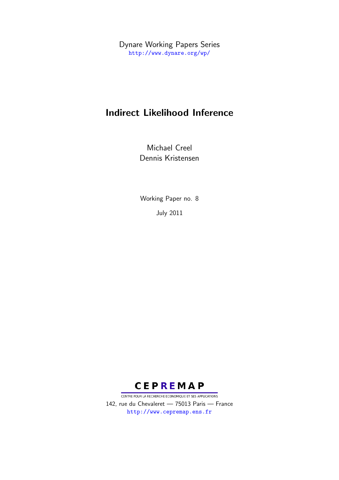Dynare Working Papers Series <http://www.dynare.org/wp/>

# Indirect Likelihood Inference

Michael Creel Dennis Kristensen

Working Paper no. 8

July 2011



CENTRE POUR LA RECHERCHE ECONOMIQUE ET SES APPLICATIONS 142, rue du Chevaleret — 75013 Paris — France <http://www.cepremap.ens.fr>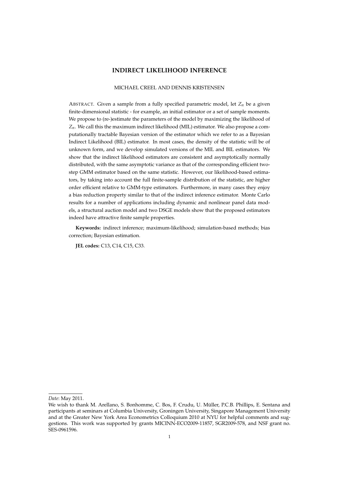### **INDIRECT LIKELIHOOD INFERENCE**

#### MICHAEL CREEL AND DENNIS KRISTENSEN

ABSTRACT. Given a sample from a fully specified parametric model, let  $Z_n$  be a given finite-dimensional statistic - for example, an initial estimator or a set of sample moments. We propose to (re-)estimate the parameters of the model by maximizing the likelihood of *Zn*. We call this the maximum indirect likelihood (MIL) estimator. We also propose a computationally tractable Bayesian version of the estimator which we refer to as a Bayesian Indirect Likelihood (BIL) estimator. In most cases, the density of the statistic will be of unknown form, and we develop simulated versions of the MIL and BIL estimators. We show that the indirect likelihood estimators are consistent and asymptotically normally distributed, with the same asymptotic variance as that of the corresponding efficient twostep GMM estimator based on the same statistic. However, our likelihood-based estimators, by taking into account the full finite-sample distribution of the statistic, are higher order efficient relative to GMM-type estimators. Furthermore, in many cases they enjoy a bias reduction property similar to that of the indirect inference estimator. Monte Carlo results for a number of applications including dynamic and nonlinear panel data models, a structural auction model and two DSGE models show that the proposed estimators indeed have attractive finite sample properties.

**Keywords:** indirect inference; maximum-likelihood; simulation-based methods; bias correction; Bayesian estimation.

**JEL codes:** C13, C14, C15, C33.

*Date*: May 2011.

We wish to thank M. Arellano, S. Bonhomme, C. Bos, F. Crudu, U. Müller, P.C.B. Phillips, E. Sentana and participants at seminars at Columbia University, Groningen University, Singapore Management University and at the Greater New York Area Econometrics Colloquium 2010 at NYU for helpful comments and suggestions. This work was supported by grants MICINN-ECO2009-11857, SGR2009-578, and NSF grant no. SES-0961596.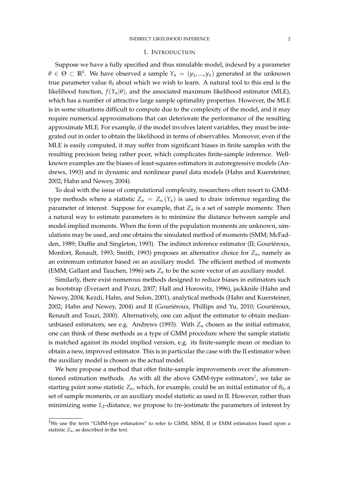## 1. INTRODUCTION

Suppose we have a fully specified and thus simulable model, indexed by a parameter  $\theta \in \Theta \subset \mathbb{R}^k$ . We have observed a sample  $Y_n = (y_1, ..., y_n)$  generated at the unknown true parameter value  $\theta_0$  about which we wish to learn. A natural tool to this end is the likelihood function,  $f(Y_n|\theta)$ , and the associated maximum likelihood estimator (MLE), which has a number of attractive large sample optimality properties. However, the MLE is in some situations difficult to compute due to the complexity of the model, and it may require numerical approximations that can deteriorate the performance of the resulting approximate MLE. For example, if the model involves latent variables, they must be integrated out in order to obtain the likelihood in terms of observables. Moreover, even if the MLE is easily computed, it may suffer from significant biases in finite samples with the resulting precision being rather poor, which complicates finite-sample inference. Wellknown examples are the biases of least-squares estimators in autoregressive models (Andrews, 1993) and in dynamic and nonlinear panel data models (Hahn and Kuersteiner, 2002; Hahn and Newey, 2004).

To deal with the issue of computational complexity, researchers often resort to GMMtype methods where a statistic  $Z_n = Z_n(Y_n)$  is used to draw inference regarding the parameter of interest. Suppose for example, that  $Z_n$  is a set of sample moments: Then a natural way to estimate parameters is to minimize the distance between sample and model-implied moments. When the form of the population moments are unknown, simulations may be used, and one obtains the simulated method of moments (SMM; McFadden, 1989; Duffie and Singleton, 1993). The indirect inference estimator (II; Gouriéroux, Monfort, Renault, 1993; Smith, 1993) proposes an alternative choice for *Zn*, namely as an extremum estimator based on an auxiliary model. The efficient method of moments (EMM; Gallant and Tauchen, 1996) sets *Z<sup>n</sup>* to be the score vector of an auxiliary model.

Similarly, there exist numerous methods designed to reduce biases in estimators such as bootstrap (Everaert and Pozzi, 2007; Hall and Horowitz, 1996), jackknife (Hahn and Newey, 2004; Kezdi, Hahn, and Solon, 2001), analytical methods (Hahn and Kuersteiner, 2002; Hahn and Newey, 2004) and II (Gouriéroux, Phillips and Yu, 2010; Gouriéroux, Renault and Touzi, 2000). Alternatively, one can adjust the estimator to obtain medianunbiased estimators; see e.g. Andrews (1993). With  $Z_n$  chosen as the initial estimator, one can think of these methods as a type of GMM procedure where the sample statistic is matched against its model implied version, e.g. its finite-sample mean or median to obtain a new, improved estimator. This is in particular the case with the II estimator when the auxiliary model is chosen as the actual model.

We here propose a method that offer finite-sample improvements over the aforemen-tioned estimation methods. As with all the above GMM-type estimators<sup>[1](#page-2-0)</sup>, we take as starting point some statistic  $Z_n$ , which, for example, could be an initial estimator of  $\theta_0$ , a set of sample moments, or an auxiliary model statistic as used in II. However, rather than minimizing some *L*<sub>2</sub>-distance, we propose to (re-)estimate the parameters of interest by

<span id="page-2-0"></span><sup>&</sup>lt;sup>1</sup>We use the term "GMM-type estimators" to refer to GMM, MSM, II or EMM estimators based upon a statistic  $Z_n$ , as described in the text.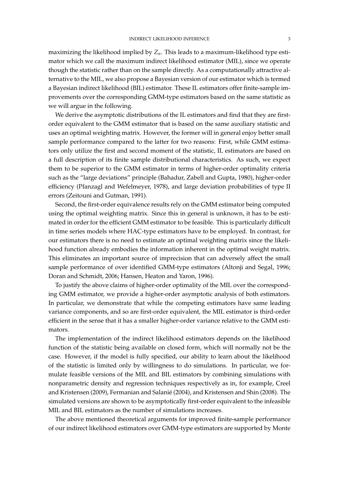maximizing the likelihood implied by  $Z_n$ . This leads to a maximum-likelihood type estimator which we call the maximum indirect likelihood estimator (MIL), since we operate though the statistic rather than on the sample directly. As a computationally attractive alternative to the MIL, we also propose a Bayesian version of our estimator which is termed a Bayesian indirect likelihood (BIL) estimator. These IL estimators offer finite-sample improvements over the corresponding GMM-type estimators based on the same statistic as

we will argue in the following. We derive the asymptotic distributions of the IL estimators and find that they are firstorder equivalent to the GMM estimator that is based on the same auxiliary statistic and uses an optimal weighting matrix. However, the former will in general enjoy better small sample performance compared to the latter for two reasons: First, while GMM estimators only utilize the first and second moment of the statistic, IL estimators are based on a full description of its finite sample distributional characteristics. As such, we expect them to be superior to the GMM estimator in terms of higher-order optimality criteria such as the "large deviations" principle (Bahadur, Zabell and Gupta, 1980), higher-order efficiency (Pfanzagl and Wefelmeyer, 1978), and large deviation probabilities of type II errors (Zeitouni and Gutman, 1991).

Second, the first-order equivalence results rely on the GMM estimator being computed using the optimal weighting matrix. Since this in general is unknown, it has to be estimated in order for the efficient GMM estimator to be feasible. This is particularly difficult in time series models where HAC-type estimators have to be employed. In contrast, for our estimators there is no need to estimate an optimal weighting matrix since the likelihood function already embodies the information inherent in the optimal weight matrix. This eliminates an important source of imprecision that can adversely affect the small sample performance of over identified GMM-type estimators (Altonji and Segal, 1996; Doran and Schmidt, 2006; Hansen, Heaton and Yaron, 1996).

To justify the above claims of higher-order optimality of the MIL over the corresponding GMM estimator, we provide a higher-order asymptotic analysis of both estimators. In particular, we demonstrate that while the competing estimators have same leading variance components, and so are first-order equivalent, the MIL estimator is third-order efficient in the sense that it has a smaller higher-order variance relative to the GMM estimators.

The implementation of the indirect likelihood estimators depends on the likelihood function of the statistic being available on closed form, which will normally not be the case. However, if the model is fully specified, our ability to learn about the likelihood of the statistic is limited only by willingness to do simulations. In particular, we formulate feasible versions of the MIL and BIL estimators by combining simulations with nonparametric density and regression techniques respectively as in, for example, Creel and Kristensen (2009), Fermanian and Salanié (2004), and Kristensen and Shin (2008). The simulated versions are shown to be asymptotically first-order equivalent to the infeasible MIL and BIL estimators as the number of simulations increases.

The above mentioned theoretical arguments for improved finite-sample performance of our indirect likelihood estimators over GMM-type estimators are supported by Monte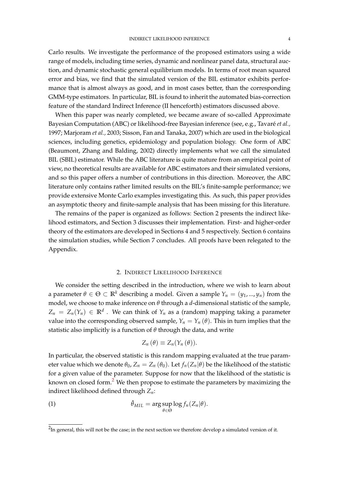Carlo results. We investigate the performance of the proposed estimators using a wide range of models, including time series, dynamic and nonlinear panel data, structural auction, and dynamic stochastic general equilibrium models. In terms of root mean squared error and bias, we find that the simulated version of the BIL estimator exhibits performance that is almost always as good, and in most cases better, than the corresponding GMM-type estimators. In particular, BIL is found to inherit the automated bias-correction feature of the standard Indirect Inference (II henceforth) estimators discussed above.

When this paper was nearly completed, we became aware of so-called Approximate Bayesian Computation (ABC) or likelihood-free Bayesian inference (see, e.g., Tavaré *et al.,* 1997; Marjoram *et al.,* 2003; Sisson, Fan and Tanaka, 2007) which are used in the biological sciences, including genetics, epidemiology and population biology. One form of ABC (Beaumont, Zhang and Balding, 2002) directly implements what we call the simulated BIL (SBIL) estimator. While the ABC literature is quite mature from an empirical point of view, no theoretical results are available for ABC estimators and their simulated versions, and so this paper offers a number of contributions in this direction. Moreover, the ABC literature only contains rather limited results on the BIL's finite-sample performance; we provide extensive Monte Carlo examples investigating this. As such, this paper provides an asymptotic theory and finite-sample analysis that has been missing for this literature.

The remains of the paper is organized as follows: Section 2 presents the indirect likelihood estimators, and Section 3 discusses their implementation. First- and higher-order theory of the estimators are developed in Sections 4 and 5 respectively. Section 6 contains the simulation studies, while Section 7 concludes. All proofs have been relegated to the Appendix.

# 2. INDIRECT LIKELIHOOD INFERENCE

We consider the setting described in the introduction, where we wish to learn about a parameter  $\theta \in \Theta \subset \mathbb{R}^k$  describing a model. Given a sample  $Y_n = (y_1, ..., y_n)$  from the model, we choose to make inference on *θ* through a *d*-dimensional statistic of the sample,  $Z_n = Z_n(Y_n) \in \mathbb{R}^d$  . We can think of  $Y_n$  as a (random) mapping taking a parameter value into the corresponding observed sample,  $Y_n = Y_n(\theta)$ . This in turn implies that the statistic also implicitly is a function of *θ* through the data, and write

<span id="page-4-1"></span>
$$
Z_n(\theta) \equiv Z_n(Y_n(\theta)).
$$

In particular, the observed statistic is this random mapping evaluated at the true parameter value which we denote  $\theta_0$ ,  $Z_n = Z_n(\theta_0)$ . Let  $f_n(Z_n|\theta)$  be the likelihood of the statistic for a given value of the parameter. Suppose for now that the likelihood of the statistic is known on closed form.<sup>[2](#page-4-0)</sup> We then propose to estimate the parameters by maximizing the indirect likelihood defined through *Zn*:

(1) 
$$
\hat{\theta}_{MIL} = \arg \sup_{\theta \in \Theta} \log f_n(Z_n|\theta).
$$

<span id="page-4-0"></span> $^2$ In general, this will not be the case; in the next section we therefore develop a simulated version of it.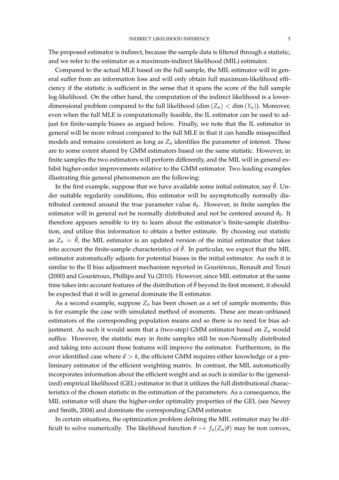The proposed estimator is indirect, because the sample data is filtered through a statistic, and we refer to the estimator as a maximum-indirect likelihood (MIL) estimator.

Compared to the actual MLE based on the full sample, the MIL estimator will in general suffer from an information loss and will only obtain full maximum-likelihood efficiency if the statistic is sufficient in the sense that it spans the score of the full sample log-likelihood. On the other hand, the computation of the indirect likelihood is a lowerdimensional problem compared to the full likelihood (dim  $(Z_n) < dim(Y_n)$ ). Moreover, even when the full MLE is computationally feasible, the IL estimator can be used to adjust for finite-sample biases as argued below. Finally, we note that the IL estimator in general will be more robust compared to the full MLE in that it can handle misspecified models and remains consistent as long as  $Z_n$  identifies the parameter of interest. These are to some extent shared by GMM estimators based on the same statistic. However, in finite samples the two estimators will perform differently, and the MIL will in general exhibit higher-order improvements relative to the GMM estimator. Two leading examples illustrating this general phenomenon are the following:

In the first example, suppose that we have available some initial estimator, say  $\hat{\theta}$ . Under suitable regularity conditions, this estimator will be asymptotically normally distributed centered around the true parameter value  $\theta_0$ . However, in finite samples the estimator will in general not be normally distributed and not be centered around  $\theta_0$ . It therefore appears sensible to try to learn about the estimator's finite-sample distribution, and utilize this information to obtain a better estimate. By choosing our statistic as  $Z_n = \hat{\theta}$ , the MIL estimator is an updated version of the initial estimator that takes into account the finite-sample characteristics of  $\hat{\theta}$ . In particular, we expect that the MIL estimator automatically adjusts for potential biases in the initial estimator. As such it is similar to the II bias adjustment mechanism reported in Gouriéroux, Renault and Touzi (2000) and Gouriéroux, Phillips and Yu (2010). However, since MIL estimator at the same time takes into account features of the distribution of  $\hat{\theta}$  beyond its first moment, it should be expected that it will in general dominate the II estimator.

As a second example, suppose  $Z_n$  has been chosen as a set of sample moments; this is for example the case with simulated method of moments. These are mean-unbiased estimators of the corresponding population means and so there is no need for bias adjustment. As such it would seem that a (two-step) GMM estimator based on *Z<sup>n</sup>* would suffice. However, the statistic may in finite samples still be non-Normally distributed and taking into account these features will improve the estimator. Furthermore, in the over identified case where  $d > k$ , the efficient GMM requires either knowledge or a preliminary estimator of the efficient weighting matrix. In contrast, the MIL automatically incorporates information about the efficient weight and as such is similar to the (generalized) empirical likelihood (GEL) estimator in that it utilizes the full distributional characteristics of the chosen statistic in the estimation of the parameters. As a consequence, the MIL estimator will share the higher-order optimality properties of the GEL (see Newey and Smith, 2004) and dominate the corresponding GMM estimator.

In certain situations, the optimization problem defining the MIL estimator may be difficult to solve numerically. The likelihood function  $\theta \mapsto f_n(Z_n|\theta)$  may be non convex,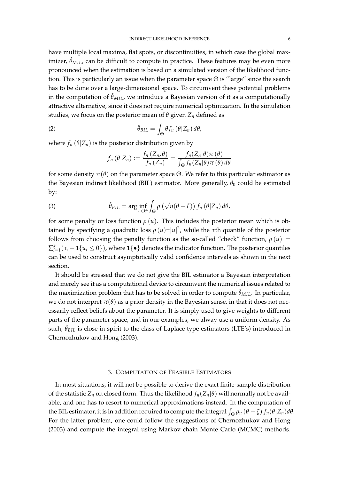have multiple local maxima, flat spots, or discontinuities, in which case the global maximizer,  $\hat{\theta}_{MIL}$ , can be difficult to compute in practice. These features may be even more pronounced when the estimation is based on a simulated version of the likelihood function. This is particularly an issue when the parameter space Θ is "large" since the search has to be done over a large-dimensional space. To circumvent these potential problems in the computation of  $\hat{\theta}_{MIL}$ , we introduce a Bayesian version of it as a computationally attractive alternative, since it does not require numerical optimization. In the simulation studies, we focus on the posterior mean of  $\theta$  given  $Z_n$  defined as

(2) 
$$
\hat{\theta}_{BIL} = \int_{\Theta} \theta f_n \left( \theta | Z_n \right) d\theta,
$$

where  $f_n(\theta|Z_n)$  is the posterior distribution given by

<span id="page-6-0"></span>
$$
f_n(\theta|Z_n) := \frac{f_n(Z_n,\theta)}{f_n(Z_n)} = \frac{f_n(Z_n|\theta)\pi(\theta)}{\int_{\Theta} f_n(Z_n|\theta)\pi(\theta)d\theta}
$$

for some density *π*(*θ*) on the parameter space Θ. We refer to this particular estimator as the Bayesian indirect likelihood (BIL) estimator. More generally,  $\theta_0$  could be estimated by:

(3) 
$$
\hat{\theta}_{BIL} = \arg\inf_{\zeta \in \Theta} \int_{\Theta} \rho \left( \sqrt{n} (\theta - \zeta) \right) f_n \left( \theta | Z_n \right) d\theta,
$$

for some penalty or loss function  $\rho(u)$ . This includes the posterior mean which is obtained by specifying a quadratic loss  $\rho(u)=|u|^2$ , while the  $\tau$ th quantile of the posterior follows from choosing the penalty function as the so-called "check" function,  $\rho(u)$  =  $\sum_{i=1}^k (\tau_i - \mathbf{1}\{u_i \leq 0\})$ , where  $\mathbf{1}\{\bullet\}$  denotes the indicator function. The posterior quantiles can be used to construct asymptotically valid confidence intervals as shown in the next section.

It should be stressed that we do not give the BIL estimator a Bayesian interpretation and merely see it as a computational device to circumvent the numerical issues related to the maximization problem that has to be solved in order to compute  $\hat{\theta}_{MIL}$ . In particular, we do not interpret  $\pi(\theta)$  as a prior density in the Bayesian sense, in that it does not necessarily reflect beliefs about the parameter. It is simply used to give weights to different parts of the parameter space, and in our examples, we alway use a uniform density. As such,  $\hat{\theta}_{BIL}$  is close in spirit to the class of Laplace type estimators (LTE's) introduced in Chernozhukov and Hong (2003).

# 3. COMPUTATION OF FEASIBLE ESTIMATORS

<span id="page-6-1"></span>In most situations, it will not be possible to derive the exact finite-sample distribution of the statistic  $Z_n$  on closed form. Thus the likelihood  $f_n(Z_n|\theta)$  will normally not be available, and one has to resort to numerical approximations instead. In the computation of the BIL estimator, it is in addition required to compute the integral  $\int_{\Theta} \rho_n (\theta - \zeta) f_n(\theta | Z_n) d\theta$ . For the latter problem, one could follow the suggestions of Chernozhukov and Hong (2003) and compute the integral using Markov chain Monte Carlo (MCMC) methods.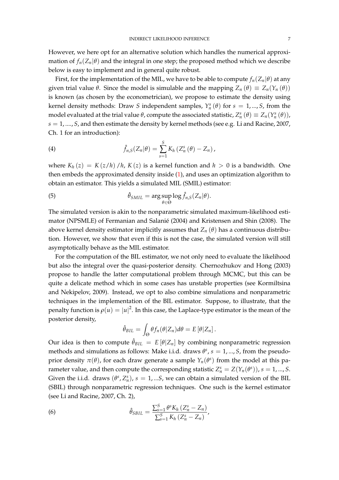However, we here opt for an alternative solution which handles the numerical approximation of  $f_n(Z_n|\theta)$  and the integral in one step; the proposed method which we describe below is easy to implement and in general quite robust.

First, for the implementation of the MIL, we have to be able to compute  $f_n(Z_n|\theta)$  at any given trial value *θ*. Since the model is simulable and the mapping *Z<sup>n</sup>* (*θ*) ≡ *Zn*(*Y<sup>n</sup>* (*θ*)) is known (as chosen by the econometrician), we propose to estimate the density using kernel density methods: Draw *S* independent samples,  $Y_n^s(\theta)$  for  $s = 1, ..., S$ , from the model evaluated at the trial value  $\theta$ , compute the associated statistic,  $Z_n^s(\theta) \equiv Z_n(Y_n^s(\theta))$ , *s* = 1, ...., *S*, and then estimate the density by kernel methods (see e.g. Li and Racine, 2007, Ch. 1 for an introduction):

<span id="page-7-1"></span>(4) 
$$
\hat{f}_{n,S}(Z_n|\theta) = \sum_{s=1}^{S} K_h (Z_n^s (\theta) - Z_n),
$$

where  $K_h(z) = K(z/h)/h$ ,  $K(z)$  is a kernel function and  $h > 0$  is a bandwidth. One then embeds the approximated density inside [\(1\)](#page-4-1), and uses an optimization algorithm to obtain an estimator. This yields a simulated MIL (SMIL) estimator:

<span id="page-7-2"></span>(5) 
$$
\hat{\theta}_{SMIL} = \arg \sup_{\theta \in \Theta} \log \hat{f}_{n,S}(Z_n|\theta).
$$

The simulated version is akin to the nonparametric simulated maximum-likelihood estimator (NPSMLE) of Fermanian and Salanié (2004) and Kristensen and Shin (2008). The above kernel density estimator implicitly assumes that  $Z_n(\theta)$  has a continuous distribution. However, we show that even if this is not the case, the simulated version will still asymptotically behave as the MIL estimator.

For the computation of the BIL estimator, we not only need to evaluate the likelihood but also the integral over the quasi-posterior density. Chernozhukov and Hong (2003) propose to handle the latter computational problem through MCMC, but this can be quite a delicate method which in some cases has unstable properties (see Kormiltsina and Nekipelov, 2009). Instead, we opt to also combine simulations and nonparametric techniques in the implementation of the BIL estimator. Suppose, to illustrate, that the penalty function is  $\rho(u)=|u|^2.$  In this case, the Laplace-type estimator is the mean of the posterior density,

$$
\hat{\theta}_{BIL} = \int_{\Theta} \theta f_n(\theta | Z_n) d\theta = E[\theta | Z_n].
$$

Our idea is then to compute  $\hat{\theta}_{BIL} = E[\theta|Z_n]$  by combining nonparametric regression methods and simulations as follows: Make i.i.d. draws  $\theta^s$ ,  $s = 1, ..., S$ , from the pseudoprior density  $\pi(\theta)$ , for each draw generate a sample  $Y_n(\theta^s)$  from the model at this parameter value, and then compute the corresponding statistic  $Z_n^s = Z(Y_n(\theta^s))$ ,  $s = 1, ..., S$ . Given the i.i.d. draws  $(\theta^s, Z_n^s)$ ,  $s = 1, ...S$ , we can obtain a simulated version of the BIL (SBIL) through nonparametric regression techniques. One such is the kernel estimator (see Li and Racine, 2007, Ch. 2),

<span id="page-7-0"></span>(6) 
$$
\hat{\theta}_{SBL} = \frac{\sum_{s=1}^{S} \theta^{s} K_{h} (Z_{n}^{s} - Z_{n})}{\sum_{s=1}^{S} K_{h} (Z_{n}^{s} - Z_{n})},
$$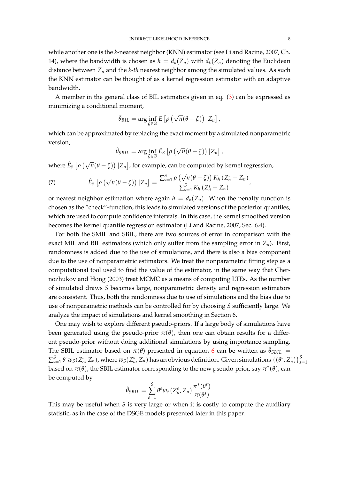while another one is the *k*-nearest neighbor (KNN) estimator (see Li and Racine, 2007, Ch. 14), where the bandwidth is chosen as  $h = d_k(Z_n)$  with  $d_k(Z_n)$  denoting the Euclidean distance between *Z<sup>n</sup>* and the *k*-*th* nearest neighbor among the simulated values. As such the KNN estimator can be thought of as a kernel regression estimator with an adaptive bandwidth.

A member in the general class of BIL estimators given in eq. [\(3\)](#page-6-0) can be expressed as minimizing a conditional moment,

$$
\hat{\theta}_{BIL} = \arg\inf_{\zeta \in \Theta} E\left[\rho\left(\sqrt{n}(\theta - \zeta)\right)|Z_n\right],
$$

which can be approximated by replacing the exact moment by a simulated nonparametric version,

$$
\hat{\theta}_{SBL} = \arg\inf_{\zeta \in \Theta} \hat{E}_S \left[ \rho \left( \sqrt{n} (\theta - \zeta) \right) | Z_n \right],
$$

where  $\hat{E}_S \left[ \rho \left( \sqrt{n}(\theta - \zeta) \right) | Z_n \right]$ , for example, can be computed by kernel regression,

(7) 
$$
\hat{E}_S \left[ \rho \left( \sqrt{n} (\theta - \zeta) \right) | Z_n \right] = \frac{\sum_{s=1}^S \rho \left( \sqrt{n} (\theta - \zeta) \right) K_h (Z_n^s - Z_n)}{\sum_{s=1}^S K_h (Z_n^s - Z_n)},
$$

or nearest neighbor estimation where again  $h = d_k(Z_n)$ . When the penalty function is chosen as the "check"-function, this leads to simulated versions of the posterior quantiles, which are used to compute confidence intervals. In this case, the kernel smoothed version becomes the kernel quantile regression estimator (Li and Racine, 2007, Sec. 6.4).

For both the SMIL and SBIL, there are two sources of error in comparison with the exact MIL and BIL estimators (which only suffer from the sampling error in *Zn*). First, randomness is added due to the use of simulations, and there is also a bias component due to the use of nonparametric estimators. We treat the nonparametric fitting step as a computational tool used to find the value of the estimator, in the same way that Chernozhukov and Hong (2003) treat MCMC as a means of computing LTEs. As the number of simulated draws *S* becomes large, nonparametric density and regression estimators are consistent. Thus, both the randomness due to use of simulations and the bias due to use of nonparametric methods can be controlled for by choosing *S* sufficiently large. We analyze the impact of simulations and kernel smoothing in Section 6.

One may wish to explore different pseudo-priors. If a large body of simulations have been generated using the pseudo-prior  $\pi(\theta)$ , then one can obtain results for a different pseudo-prior without doing additional simulations by using importance sampling. The SBIL estimator based on  $\pi(\theta)$  presented in equation [6](#page-7-0) can be written as  $\hat{\theta}_{SBL}$  =  $\sum_{s=1}^S \theta^s w_S(Z_n^s, Z_n)$ , where  $w_S(Z_n^s, Z_n)$  has an obvious definition. Given simulations  $\{(\theta^s, Z_n^s)\}_s^S$ *s*=1 based on  $\pi(\theta)$ , the SBIL estimator corresponding to the new pseudo-prior, say  $\pi^*(\theta)$ , can be computed by

$$
\hat{\theta}_{SBL} = \sum_{s=1}^{S} \theta^s w_S (Z_n^s, Z_n) \frac{\pi^*(\theta^s)}{\pi(\theta^s)}.
$$

This may be useful when *S* is very large or when it is costly to compute the auxiliary statistic, as in the case of the DSGE models presented later in this paper.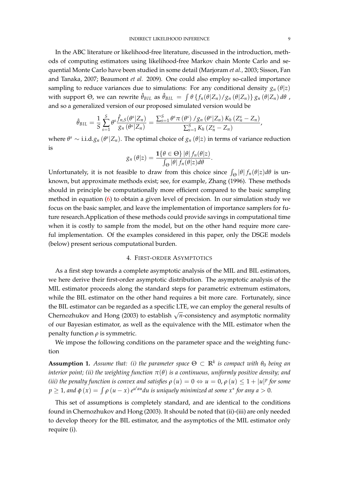In the ABC literature or likelihood-free literature, discussed in the introduction, methods of computing estimators using likelihood-free Markov chain Monte Carlo and sequential Monte Carlo have been studied in some detail (Marjoram *et al.,* 2003; Sisson, Fan and Tanaka, 2007; Beaumont *et al.* 2009). One could also employ so-called importance sampling to reduce variances due to simulations: For any conditional density  $g_n(\theta|z)$ with support  $\Theta$ , we can rewrite  $\hat{\theta}_{BIL}$  as  $\hat{\theta}_{BIL} = \int \theta \{f_n(\theta|Z_n)/g_n(\theta|Z_n)\} g_n(\theta|Z_n) d\theta$  , and so a generalized version of our proposed simulated version would be

$$
\hat{\theta}_{BIL} = \frac{1}{S} \sum_{s=1}^{S} \theta^s \frac{\hat{f}_{n,S}(\theta^s | Z_n)}{g_n(\theta^s | Z_n)} = \frac{\sum_{s=1}^{S} \theta^s \pi(\theta^s) / g_n(\theta^s | Z_n) K_h(Z_n^s - Z_n)}{\sum_{s=1}^{S} K_h(Z_n^s - Z_n)},
$$

where  $\theta^s \sim \text{i.i.d.} g_n(\theta^s | Z_n)$ . The optimal choice of  $g_n(\theta | z)$  in terms of variance reduction is

$$
g_n(\theta|z) = \frac{\mathbf{1}\{\theta \in \Theta\}|\theta| f_n(\theta|z)}{\int_{\Theta}|\theta| f_n(\theta|z)d\theta}.
$$

Unfortunately, it is not feasible to draw from this choice since  $\int_{\Theta} |\theta| f_n(\theta|z) d\theta$  is unknown, but approximate methods exist; see, for example, Zhang (1996). These methods should in principle be computationally more efficient compared to the basic sampling method in equation [\(6\)](#page-7-0) to obtain a given level of precision. In our simulation study we focus on the basic sampler, and leave the implementation of importance samplers for future research.Application of these methods could provide savings in computational time when it is costly to sample from the model, but on the other hand require more careful implementation. Of the examples considered in this paper, only the DSGE models (below) present serious computational burden.

# 4. FIRST-ORDER ASYMPTOTICS

As a first step towards a complete asymptotic analysis of the MIL and BIL estimators, we here derive their first-order asymptotic distribution. The asymptotic analysis of the MIL estimator proceeds along the standard steps for parametric extremum estimators, while the BIL estimator on the other hand requires a bit more care. Fortunately, since the BIL estimator can be regarded as a specific LTE, we can employ the general results of Chernozhukov and Hong (2003) to establish  $\sqrt{n}$ -consistency and asymptotic normality of our Bayesian estimator, as well as the equivalence with the MIL estimator when the penalty function *ρ* is symmetric.

We impose the following conditions on the parameter space and the weighting function

<span id="page-9-0"></span>**Assumption 1.** *Assume that: (i) the parameter space*  $\Theta \subset \mathbb{R}^k$  *is compact with*  $\theta_0$  *being an interior point; (ii) the weighting function π*(*θ*) *is a continuous, uniformly positive density; and (iii) the penalty function is convex and satisfies*  $\rho(u) = 0 \Leftrightarrow u = 0$ *,*  $\rho(u) \leq 1 + |u|^p$  *for some*  $p \geq 1$ , and  $\phi(x) = \int \rho(u - x) e^{u' a u} du$  is uniquely minimized at some  $x^*$  for any  $a > 0$ .

This set of assumptions is completely standard, and are identical to the conditions found in Chernozhukov and Hong (2003). It should be noted that (ii)-(iii) are only needed to develop theory for the BIL estimator, and the asymptotics of the MIL estimator only require (i).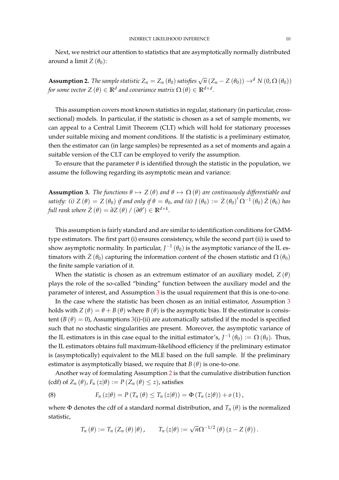Next, we restrict our attention to statistics that are asymptotically normally distributed around a limit  $Z(\theta_0)$ :

<span id="page-10-1"></span>**Assumption 2.** *The sample statistic*  $Z_n = Z_n(\theta_0)$  *satisfies*  $\sqrt{n} (Z_n - Z(\theta_0)) \rightarrow^d N(0, \Omega(\theta_0))$  $f$ or some vector  $Z\left(\theta\right) \in \mathbb{R}^{d}$  and covariance matrix  $\Omega\left(\theta\right) \in \mathbb{R}^{d \times d}.$ 

This assumption covers most known statistics in regular, stationary (in particular, crosssectional) models. In particular, if the statistic is chosen as a set of sample moments, we can appeal to a Central Limit Theorem (CLT) which will hold for stationary processes under suitable mixing and moment conditions. If the statistic is a preliminary estimator, then the estimator can (in large samples) be represented as a set of moments and again a suitable version of the CLT can be employed to verify the assumption.

To ensure that the parameter  $\theta$  is identified through the statistic in the population, we assume the following regarding its asymptotic mean and variance:

<span id="page-10-0"></span>**Assumption 3.** *The functions*  $\theta \mapsto Z(\theta)$  *and*  $\theta \mapsto \Omega(\theta)$  *are continuously differentiable and satisfy:* (i)  $Z(\theta) = Z(\theta_0)$  if and only if  $\theta = \theta_0$ , and (ii)  $J(\theta_0) := \dot{Z}(\theta_0)' \Omega^{-1}(\theta_0) \dot{Z}(\theta_0)$  has  $f$ ull rank where  $\dot{Z}(\theta) = \partial Z(\theta) / (\partial \theta') \in \mathbb{R}^{d \times k}$ .

This assumption is fairly standard and are similar to identification conditions for GMMtype estimators. The first part (i) ensures consistency, while the second part (ii) is used to show asymptotic normality. In particular,  $J^{-1}\left(\theta_{0}\right)$  is the asymptotic variance of the IL estimators with  $\dot{Z}(\theta_0)$  capturing the information content of the chosen statistic and  $\Omega(\theta_0)$ the finite sample variation of it.

When the statistic is chosen as an extremum estimator of an auxiliary model,  $Z(\theta)$ plays the role of the so-called "binding" function between the auxiliary model and the parameter of interest, and Assumption [3](#page-10-0) is the usual requirement that this is one-to-one.

In the case where the statistic has been chosen as an initial estimator, Assumption [3](#page-10-0) holds with  $Z(\theta) = \theta + B(\theta)$  where  $B(\theta)$  is the asymptotic bias. If the estimator is consistent  $(B(\theta) = 0)$ , Assumptions [3\(](#page-10-0)i)-(ii) are automatically satisfied if the model is specified such that no stochastic singularities are present. Moreover, the asymptotic variance of the IL estimators is in this case equal to the initial estimator's,  $J^{-1}\left(\theta_0\right) := \Omega\left(\theta_0\right)$ . Thus, the IL estimators obtains full maximum-likelihood efficiency if the preliminary estimator is (asymptotically) equivalent to the MLE based on the full sample. If the preliminary estimator is asymptotically biased, we require that  $B(\theta)$  is one-to-one.

Another way of formulating Assumption [2](#page-10-1) is that the cumulative distribution function (cdf) of  $Z_n(\theta)$ ,  $F_n(z|\theta) := P(Z_n(\theta) \leq z)$ , satisfies

(8) 
$$
F_n(z|\theta) = P(T_n(\theta) \leq T_n(z|\theta)) = \Phi(T_n(z|\theta)) + o(1),
$$

where  $\Phi$  denotes the cdf of a standard normal distribution, and  $T_n(\theta)$  is the normalized statistic,

<span id="page-10-2"></span>
$$
T_n(\theta) := T_n(Z_n(\theta) | \theta), \qquad T_n(z | \theta) := \sqrt{n} \Omega^{-1/2}(\theta) (z - Z(\theta)).
$$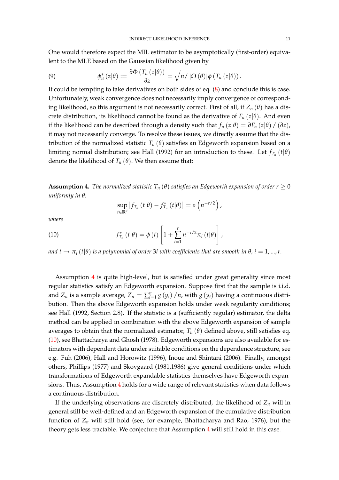One would therefore expect the MIL estimator to be asymptotically (first-order) equivalent to the MLE based on the Gaussian likelihood given by

<span id="page-11-2"></span>(9) 
$$
\phi_n^*(z|\theta) := \frac{\partial \Phi(T_n(z|\theta))}{\partial z} = \sqrt{n/|\Omega(\theta)|} \phi(T_n(z|\theta)).
$$

It could be tempting to take derivatives on both sides of eq. [\(8\)](#page-10-2) and conclude this is case. Unfortunately, weak convergence does not necessarily imply convergence of corresponding likelihood, so this argument is not necessarily correct. First of all, if *Z<sup>n</sup>* (*θ*) has a discrete distribution, its likelihood cannot be found as the derivative of  $F_n(z|\theta)$ . And even if the likelihood can be described through a density such that  $f_n(z|\theta) = \partial F_n(z|\theta) / (\partial z)$ , it may not necessarily converge. To resolve these issues, we directly assume that the distribution of the normalized statistic  $T_n(\theta)$  satisfies an Edgeworth expansion based on a limiting normal distribution; see Hall (1992) for an introduction to these. Let  $f_{T_n}(t|\theta)$ denote the likelihood of  $T_n(\theta)$ . We then assume that:

<span id="page-11-0"></span>**Assumption 4.** *The normalized statistic*  $T_n(\theta)$  *satisfies an Edgeworth expansion of order r*  $\geq 0$ *uniformly in θ:*

<span id="page-11-1"></span>
$$
\sup_{t\in\mathbb{R}^d}\left|f_{T_n}\left(t\vert\theta\right)-f_{T_n}^*\left(t\vert\theta\right)\right|=o\left(n^{-r/2}\right),
$$

*where*

(10) 
$$
f_{T_n}^*(t|\theta) = \phi(t) \left[ 1 + \sum_{i=1}^r n^{-i/2} \pi_i(t|\theta) \right],
$$

*and*  $t \to \pi_i$  ( $t | \theta$ ) *is a polynomial of order* 3*i* with coefficients that are smooth in  $\theta$ ,  $i = 1, ..., r$ .

Assumption [4](#page-11-0) is quite high-level, but is satisfied under great generality since most regular statistics satisfy an Edgeworth expansion. Suppose first that the sample is i.i.d. and  $Z_n$  is a sample average,  $Z_n = \sum_{i=1}^n g(y_i) / n$ , with  $g(y_i)$  having a continuous distribution. Then the above Edgeworth expansion holds under weak regularity conditions; see Hall (1992, Section 2.8). If the statistic is a (sufficiently regular) estimator, the delta method can be applied in combination with the above Edgeworth expansion of sample averages to obtain that the normalized estimator,  $T_n(\theta)$  defined above, still satisfies eq. [\(10\)](#page-11-1), see Bhattacharya and Ghosh (1978). Edgeworth expansions are also available for estimators with dependent data under suitable conditions on the dependence structure, see e.g. Fuh (2006), Hall and Horowitz (1996), Inoue and Shintani (2006). Finally, amongst others, Phillips (1977) and Skovgaard (1981,1986) give general conditions under which transformations of Edgeworth expandable statistics themselves have Edgeworth expansions. Thus, Assumption [4](#page-11-0) holds for a wide range of relevant statistics when data follows a continuous distribution.

If the underlying observations are discretely distributed, the likelihood of *Z<sup>n</sup>* will in general still be well-defined and an Edgeworth expansion of the cumulative distribution function of *Z<sup>n</sup>* will still hold (see, for example, Bhattacharya and Rao, 1976), but the theory gets less tractable. We conjecture that Assumption [4](#page-11-0) will still hold in this case.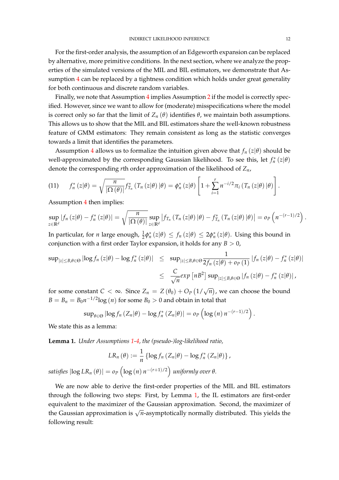For the first-order analysis, the assumption of an Edgeworth expansion can be replaced by alternative, more primitive conditions. In the next section, where we analyze the properties of the simulated versions of the MIL and BIL estimators, we demonstrate that As-sumption [4](#page-11-0) can be replaced by a tightness condition which holds under great generality for both continuous and discrete random variables.

Finally, we note that Assumption  $4$  implies Assumption  $2$  if the model is correctly specified. However, since we want to allow for (moderate) misspecifications where the model is correct only so far that the limit of  $Z_n$  (*θ*) identifies *θ*, we maintain both assumptions. This allows us to show that the MIL and BIL estimators share the well-known robustness feature of GMM estimators: They remain consistent as long as the statistic converges towards a limit that identifies the parameters.

Assumption [4](#page-11-0) allows us to formalize the intuition given above that  $f_n(z|\theta)$  should be well-approximated by the corresponding Gaussian likelihood. To see this, let  $f_n^*(z|\theta)$ denote the corresponding *r*th order approximation of the likelihood of *Zn*,

(11) 
$$
f_n^*(z|\theta) = \sqrt{\frac{n}{|\Omega(\theta)|}} f_{T_n}^*(T_n(z|\theta) | \theta) = \phi_n^*(z|\theta) \left[1 + \sum_{i=1}^r n^{-i/2} \pi_i (T_n(z|\theta) | \theta)\right].
$$

Assumption [4](#page-11-0) then implies:

$$
\sup_{z\in\mathbb{R}^d}|f_n(z|\theta)-f_n^*(z|\theta)|=\sqrt{\frac{n}{|\Omega(\theta)|}}\sup_{z\in\mathbb{R}^d}|f_{T_n}(T_n(z|\theta)|\theta)-f_{T_n}^*(T_n(z|\theta)|\theta)|=o_p\left(n^{-(r-1)/2}\right).
$$

In particular, for *n* large enough,  $\frac{1}{2}\phi_n^*(z|\theta) \le f_n(z|\theta) \le 2\phi_n^*(z|\theta)$ . Using this bound in conjunction with a first order Taylor expansion, it holds for any  $B > 0$ ,

$$
\sup_{|z| \leq B, \theta \in \Theta} |\log f_n(z|\theta) - \log f_n^*(z|\theta)| \leq \sup_{|z| \leq B, \theta \in \Theta} \frac{1}{2f_n(z|\theta) + o_p(1)} |f_n(z|\theta) - f_n^*(z|\theta)|
$$
  

$$
\leq \frac{C}{\sqrt{n}} exp [nB^2] sup_{|z| \leq B, \theta \in \Theta} |f_n(z|\theta) - f_n^*(z|\theta)|,
$$

for some constant  $C < \infty$ . Since  $Z_n = Z(\theta_0) + O_P(1/\sqrt{n})$ , we can choose the bound  $B = B_n = B_0 n^{-1/2} \text{log} (n)$  for some  $B_0 > 0$  and obtain in total that

$$
\sup_{\theta \in \Theta} \left| \log f_n \left( Z_n | \theta \right) - \log f_n^* \left( Z_n | \theta \right) \right| = o_P \left( \log \left( n \right) n^{-(r-1)/2} \right).
$$

We state this as a lemma:

<span id="page-12-0"></span>**Lemma 1.** *Under Assumptions [1](#page-9-0)[-4,](#page-11-0) the (pseudo-)log-likelihood ratio,*

$$
LR_n(\theta) := \frac{1}{n} \left\{ \log f_n \left( Z_n | \theta \right) - \log f_n^* \left( Z_n | \theta \right) \right\},
$$
  
satisfies  $|\log LR_n(\theta)| = o_P \left( \log (n) n^{-(r+1)/2} \right)$  uniformly over  $\theta$ .

We are now able to derive the first-order properties of the MIL and BIL estimators through the following two steps: First, by Lemma [1,](#page-12-0) the IL estimators are first-order equivalent to the maximizer of the Gaussian approximation. Second, the maximizer of the Gaussian approximation is <sup>√</sup> *n*-asymptotically normally distributed. This yields the following result: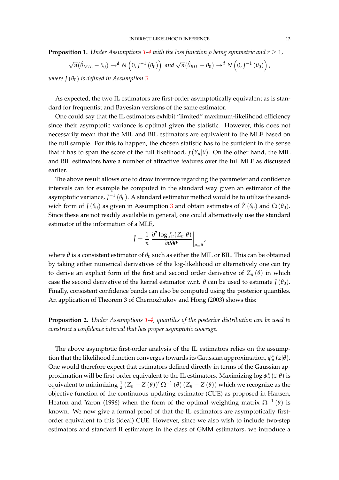<span id="page-13-0"></span>**Proposition [1](#page-9-0).** *Under Assumptions* 1[-4](#page-11-0) *with the loss function*  $\rho$  *being symmetric and*  $r \geq 1$ *,* 

$$
\sqrt{n}(\hat{\theta}_{MIL} - \theta_0) \rightarrow^d N\left(0, J^{-1}(\theta_0)\right) \text{ and } \sqrt{n}(\hat{\theta}_{BIL} - \theta_0) \rightarrow^d N\left(0, J^{-1}(\theta_0)\right),
$$

*where*  $J(\theta_0)$  *is defined in Assumption [3.](#page-10-0)* 

As expected, the two IL estimators are first-order asymptotically equivalent as is standard for frequentist and Bayesian versions of the same estimator.

One could say that the IL estimators exhibit "limited" maximum-likelihood efficiency since their asymptotic variance is optimal given the statistic. However, this does not necessarily mean that the MIL and BIL estimators are equivalent to the MLE based on the full sample. For this to happen, the chosen statistic has to be sufficient in the sense that it has to span the score of the full likelihood,  $f(Y_n|\theta)$ . On the other hand, the MIL and BIL estimators have a number of attractive features over the full MLE as discussed earlier.

The above result allows one to draw inference regarding the parameter and confidence intervals can for example be computed in the standard way given an estimator of the asymptotic variance,  $J^{-1}\left( \theta_{0}\right)$ . A standard estimator method would be to utilize the sandwich form of *J* ( $\theta_0$ ) as given in Assumption [3](#page-10-0) and obtain estimates of  $\dot{Z}(\theta_0)$  and  $\Omega(\theta_0)$ . Since these are not readily available in general, one could alternatively use the standard estimator of the information of a MLE,

$$
\hat{J} = \frac{1}{n} \left. \frac{\partial^2 \log f_n(Z_n|\theta)}{\partial \theta \partial \theta'} \right|_{\theta = \hat{\theta}}
$$

,

where  $\hat{\theta}$  is a consistent estimator of  $\theta_0$  such as either the MIL or BIL. This can be obtained by taking either numerical derivatives of the log-likelihood or alternatively one can try to derive an explicit form of the first and second order derivative of  $Z_n(\theta)$  in which case the second derivative of the kernel estimator w.r.t.  $\theta$  can be used to estimate *J* ( $\theta$ <sub>0</sub>). Finally, consistent confidence bands can also be computed using the posterior quantiles. An application of Theorem 3 of Chernozhukov and Hong (2003) shows this:

<span id="page-13-1"></span>**Proposition 2.** *Under Assumptions [1-](#page-9-0)[4,](#page-11-0) quantiles of the posterior distribution can be used to construct a confidence interval that has proper asymptotic coverage.*

The above asymptotic first-order analysis of the IL estimators relies on the assumption that the likelihood function converges towards its Gaussian approximation,  $\phi_n^*(z|\theta)$ . One would therefore expect that estimators defined directly in terms of the Gaussian approximation will be first-order equivalent to the IL estimators. Maximizing  $\log \phi_n^*(z|\theta)$  is equivalent to minimizing  $\frac{1}{2}(Z_n - Z(\theta))^{\prime} \Omega^{-1}(\theta) (Z_n - Z(\theta))$  which we recognize as the objective function of the continuous updating estimator (CUE) as proposed in Hansen, Heaton and Yaron (1996) when the form of the optimal weighting matrix Ω−<sup>1</sup> (*θ*) is known. We now give a formal proof of that the IL estimators are asymptotically firstorder equivalent to this (ideal) CUE. However, since we also wish to include two-step estimators and standard II estimators in the class of GMM estimators, we introduce a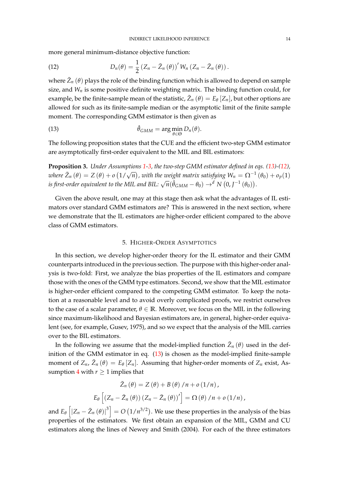more general minimum-distance objective function:

<span id="page-14-1"></span>(12) 
$$
D_n(\theta) = \frac{1}{2} \left( Z_n - \bar{Z}_n(\theta) \right)' W_n \left( Z_n - \bar{Z}_n(\theta) \right).
$$

where  $\bar{Z}_n (\theta)$  plays the role of the binding function which is allowed to depend on sample size, and *W<sup>n</sup>* is some positive definite weighting matrix. The binding function could, for example, be the finite-sample mean of the statistic,  $\bar{Z}_n (\theta) = E_\theta [Z_n]$ , but other options are allowed for such as its finite-sample median or the asymptotic limit of the finite sample moment. The corresponding GMM estimator is then given as

<span id="page-14-0"></span>(13) 
$$
\hat{\theta}_{GMM} = \arg\min_{\theta \in \Theta} D_n(\theta).
$$

The following proposition states that the CUE and the efficient two-step GMM estimator are asymptotically first-order equivalent to the MIL and BIL estimators:

<span id="page-14-2"></span>**Proposition 3.** *Under Assumptions [1](#page-9-0)[-3,](#page-10-0) the two-step GMM estimator defined in eqs. [\(13\)](#page-14-0)-[\(12\)](#page-14-1), where*  $\bar{Z}_n(\theta) = Z(\theta) + o(1/\sqrt{n})$ , with the weight matrix satisfying  $W_n = \Omega^{-1}(\theta_0) + o_p(1)$ *is first-order equivalent to the MIL and BIL:*  $\sqrt{n}(\hat{\theta}_{GMM} - \theta_0) \rightarrow^d N(0, J^{-1}(\theta_0)).$ 

Given the above result, one may at this stage then ask what the advantages of IL estimators over standard GMM estimators are? This is answered in the next section, where we demonstrate that the IL estimators are higher-order efficient compared to the above class of GMM estimators.

### 5. HIGHER-ORDER ASYMPTOTICS

In this section, we develop higher-order theory for the IL estimator and their GMM counterparts introduced in the previous section. The purpose with this higher-order analysis is two-fold: First, we analyze the bias properties of the IL estimators and compare those with the ones of the GMM type estimators. Second, we show that the MIL estimator is higher-order efficient compared to the competing GMM estimator. To keep the notation at a reasonable level and to avoid overly complicated proofs, we restrict ourselves to the case of a scalar parameter,  $\theta \in \mathbb{R}$ . Moreover, we focus on the MIL in the following since maximum-likelihood and Bayesian estimators are, in general, higher-order equivalent (see, for example, Gusev, 1975), and so we expect that the analysis of the MIL carries over to the BIL estimators.

In the following we assume that the model-implied function  $\bar{Z}_n (\theta)$  used in the definition of the GMM estimator in eq. [\(13\)](#page-14-0) is chosen as the model-implied finite-sample moment of  $Z_n$ ,  $\bar{Z}_n$  ( $\theta$ ) =  $E_\theta$  [ $Z_n$ ]. Assuming that higher-order moments of  $Z_n$  exist, As-sumption [4](#page-11-0) with  $r \geq 1$  implies that

$$
\bar{Z}_{n}(\theta) = Z(\theta) + B(\theta) / n + o(1/n),
$$
  

$$
E_{\theta} \left[ \left( Z_{n} - \bar{Z}_{n}(\theta) \right) \left( Z_{n} - \bar{Z}_{n}(\theta) \right)' \right] = \Omega(\theta) / n + o(1/n),
$$

and  $E_\theta\left[\left|Z_n-\bar{Z}_n\left(\theta\right)\right|^3\right]=O\left(1/n^{3/2}\right).$  We use these properties in the analysis of the bias properties of the estimators. We first obtain an expansion of the MIL, GMM and CU estimators along the lines of Newey and Smith (2004). For each of the three estimators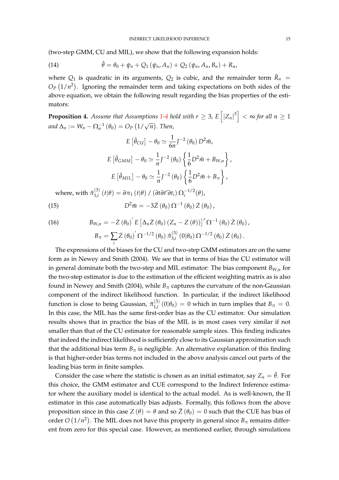(two-step GMM, CU and MIL), we show that the following expansion holds:

<span id="page-15-0"></span>(14) 
$$
\hat{\theta} = \theta_0 + \psi_n + Q_1 (\psi_n, A_n) + Q_2 (\psi_n, A_n, B_n) + R_n,
$$

where  $Q_1$  is quadratic in its arguments,  $Q_2$  is cubic, and the remainder term  $\tilde{R}_n$  =  $O_P(1/n^2)$ . Ignoring the remainder term and taking expectations on both sides of the above equation, we obtain the following result regarding the bias properties of the estimators:

<span id="page-15-1"></span>**Proposition 4.** Assume that Assumptions [1](#page-9-0)[-4](#page-11-0) hold with  $r \geq 3$ ,  $E\left[ |Z_n|^3 \right] < \infty$  for all  $n \geq 1$ *and*  $\Delta_n := W_n - \Omega_n^{-1} (\theta_0) = O_P (1/\sqrt{n})$ . *Then*,

$$
E\left[\hat{\theta}_{\text{C}U}\right] - \theta_0 \simeq \frac{1}{6n} J^{-2} \left(\theta_0\right) D^2 \bar{m},
$$
  

$$
E\left[\hat{\theta}_{\text{GMM}}\right] - \theta_0 \simeq \frac{1}{n} J^{-2} \left(\theta_0\right) \left\{\frac{1}{6} D^2 \bar{m} + B_{W,n} \right\},
$$
  

$$
E\left[\hat{\theta}_{\text{MIL}}\right] - \theta_0 \simeq \frac{1}{n} J^{-2} \left(\theta_0\right) \left\{\frac{1}{6} D^2 \bar{m} + B_{\pi} \right\},
$$

where, with  $\bar{\pi}_{1,i}^{(3)}$  $\int_{1,i}^{(3)}(t|\theta) = \partial \pi_1(t|\theta)$  /  $(\partial t \partial t' \partial t_i)$   $\Omega_i^{-1/2}$  $i^{-1/2}(\theta)$ ,

(15) 
$$
D^2 \bar{m} = -3\ddot{Z} (\theta_0) \Omega^{-1} (\theta_0) \dot{Z} (\theta_0),
$$

(16) 
$$
B_{W,n} = -\dot{Z} (\theta_0)' E [\Delta_n \dot{Z} (\theta_0) (Z_n - Z (\theta))]' \Omega^{-1} (\theta_0) \dot{Z} (\theta_0),
$$

$$
B_{\pi} = \sum_i \dot{Z} (\theta_0)' \Omega^{-1/2} (\theta_0) \bar{\pi}_{3,i}^{(3)} (0 | \theta_0) \Omega^{-1/2} (\theta_0) \dot{Z} (\theta_0).
$$

The expressions of the biases for the CU and two-step GMM estimators are on the same form as in Newey and Smith (2004). We see that in terms of bias the CU estimator will in general dominate both the two-step and MIL estimator: The bias component  $B_{W,n}$  for the two-step estimator is due to the estimation of the efficient weighting matrix as is also found in Newey and Smith (2004), while  $B_\pi$  captures the curvature of the non-Gaussian component of the indirect likelihood function. In particular, if the indirect likelihood function is close to being Gaussian,  $\bar{\pi}_{1,i}^{(3)}$  $1_{1,i}^{(3)}$  (0| $\theta_0$ ) = 0 which in turn implies that  $B_{\pi} = 0$ . In this case, the MIL has the same first-order bias as the CU estimator. Our simulation results shows that in practice the bias of the MIL is in most cases very similar if not smaller than that of the CU estimator for reasonable sample sizes. This finding indicates that indeed the indirect likelihood is sufficiently close to its Gaussian approximation such that the additional bias term  $B_\pi$  is negligible. An alternative explanation of this finding is that higher-order bias terms not included in the above analysis cancel out parts of the leading bias term in finite samples.

Consider the case where the statistic is chosen as an initial estimator, say  $Z_n = \tilde{\theta}$ . For this choice, the GMM estimator and CUE correspond to the Indirect Inference estimator where the auxiliary model is identical to the actual model. As is well-known, the II estimator in this case automatically bias adjusts. Formally, this follows from the above proposition since in this case  $Z(\theta) = \theta$  and so  $\ddot{Z}(\theta_0) = 0$  such that the CUE has bias of order  $O(1/n^2)$ . The MIL does not have this property in general since  $B_\pi$  remains different from zero for this special case. However, as mentioned earlier, through simulations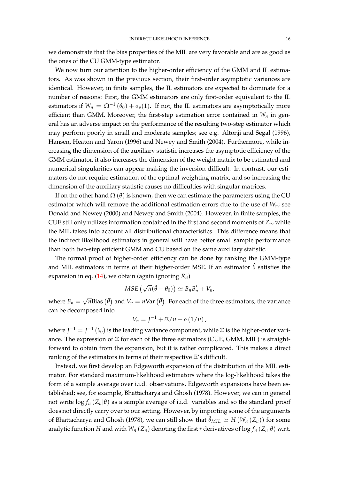we demonstrate that the bias properties of the MIL are very favorable and are as good as the ones of the CU GMM-type estimator.

We now turn our attention to the higher-order efficiency of the GMM and IL estimators. As was shown in the previous section, their first-order asymptotic variances are identical. However, in finite samples, the IL estimators are expected to dominate for a number of reasons: First, the GMM estimators are only first-order equivalent to the IL estimators if  $W_n = \Omega^{-1}(\theta_0) + o_p(1)$ . If not, the IL estimators are asymptotically more efficient than GMM. Moreover, the first-step estimation error contained in  $W<sub>n</sub>$  in general has an adverse impact on the performance of the resulting two-step estimator which may perform poorly in small and moderate samples; see e.g. Altonji and Segal (1996), Hansen, Heaton and Yaron (1996) and Newey and Smith (2004). Furthermore, while increasing the dimension of the auxiliary statistic increases the asymptotic efficiency of the GMM estimator, it also increases the dimension of the weight matrix to be estimated and numerical singularities can appear making the inversion difficult. In contrast, our estimators do not require estimation of the optimal weighting matrix, and so increasing the dimension of the auxiliary statistic causes no difficulties with singular matrices.

If on the other hand  $\Omega(\theta)$  is known, then we can estimate the parameters using the CU estimator which will remove the additional estimation errors due to the use of  $W_n$ ; see Donald and Newey (2000) and Newey and Smith (2004). However, in finite samples, the CUE still only utilizes information contained in the first and second moments of *Zn*, while the MIL takes into account all distributional characteristics. This difference means that the indirect likelihood estimators in general will have better small sample performance than both two-step efficient GMM and CU based on the same auxiliary statistic.

The formal proof of higher-order efficiency can be done by ranking the GMM-type and MIL estimators in terms of their higher-order MSE. If an estimator  $\hat{\theta}$  satisfies the expansion in eq. [\(14\)](#page-15-0), we obtain (again ignoring *Rn*)

$$
MSE\left(\sqrt{n}(\hat{\theta}-\theta_0)\right)\simeq B_nB'_n+V_n,
$$

where  $B_n =$  $\sqrt{n}$ Bias  $(\hat{\theta})$  and  $V_n = n$ Var  $(\hat{\theta})$ . For each of the three estimators, the variance can be decomposed into

$$
V_n = J^{-1} + \Xi/n + o(1/n),
$$

where  $J^{-1} = J^{-1}(\theta_0)$  is the leading variance component, while  $\Xi$  is the higher-order variance. The expression of Ξ for each of the three estimators (CUE, GMM, MIL) is straightforward to obtain from the expansion, but it is rather complicated. This makes a direct ranking of the estimators in terms of their respective Ξ's difficult.

Instead, we first develop an Edgeworth expansion of the distribution of the MIL estimator. For standard maximum-likelihood estimators where the log-likelihood takes the form of a sample average over i.i.d. observations, Edgeworth expansions have been established; see, for example, Bhattacharya and Ghosh (1978). However, we can in general not write  $\log f_n(Z_n|\theta)$  as a sample average of i.i.d. variables and so the standard proof does not directly carry over to our setting. However, by importing some of the arguments of Bhattacharya and Ghosh (1978), we can still show that  $\hat{\theta}_{MIL} \simeq H(W_n(Z_n))$  for some analytic function *H* and with  $W_n$  ( $Z_n$ ) denoting the first *r* derivatives of log  $f_n$  ( $Z_n | \theta$ ) w.r.t.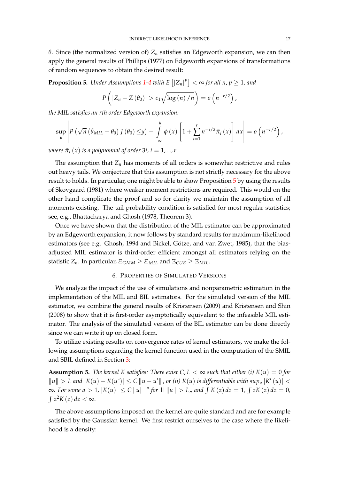*θ*. Since (the normalized version of) *Z<sup>n</sup>* satisfies an Edgeworth expansion, we can then apply the general results of Phillips (1977) on Edgeworth expansions of transformations of random sequences to obtain the desired result:

<span id="page-17-0"></span>**Proposition 5.** Under Assumptions [1](#page-9-0)[-4](#page-11-0) with  $E\left[|Z_n|^p\right] < \infty$  for all  $n, p \geq 1$ , and

$$
P\left(|Z_n-Z(\theta_0)|>c_1\sqrt{\log(n)/n}\right)=o\left(n^{-r/2}\right),\,
$$

*the MIL satisfies an rth order Edgeworth expansion:*

$$
\sup_{y} \left| P\left(\sqrt{n}\left(\hat{\theta}_{MIL} - \theta_0\right) J\left(\theta_0\right) \leq y\right) - \int\limits_{-\infty}^{y} \phi\left(x\right) \left[1 + \sum\limits_{i=1}^{r} n^{-i/2} \tilde{\pi}_i\left(x\right)\right] dx \right| = o\left(n^{-r/2}\right),
$$

*where*  $\tilde{\pi}_i(x)$  *is a polynomial of order* 3*i*,  $i = 1, ..., r$ .

The assumption that  $Z_n$  has moments of all orders is somewhat restrictive and rules out heavy tails. We conjecture that this assumption is not strictly necessary for the above result to holds. In particular, one might be able to show Proposition [5](#page-17-0) by using the results of Skovgaard (1981) where weaker moment restrictions are required. This would on the other hand complicate the proof and so for clarity we maintain the assumption of all moments existing. The tail probability condition is satisfied for most regular statistics; see, e.g., Bhattacharya and Ghosh (1978, Theorem 3).

Once we have shown that the distribution of the MIL estimator can be approximated by an Edgeworth expansion, it now follows by standard results for maximum-likelihood estimators (see e.g. Ghosh, 1994 and Bickel, Götze, and van Zwet, 1985), that the biasadjusted MIL estimator is third-order efficient amongst all estimators relying on the statistic  $Z_n$ . In particular,  $\Xi_{GMM} \geq \Xi_{MIL}$  and  $\Xi_{CUE} \geq \Xi_{MIL}$ .

# 6. PROPERTIES OF SIMULATED VERSIONS

We analyze the impact of the use of simulations and nonparametric estimation in the implementation of the MIL and BIL estimators. For the simulated version of the MIL estimator, we combine the general results of Kristensen (2009) and Kristensen and Shin (2008) to show that it is first-order asymptotically equivalent to the infeasible MIL estimator. The analysis of the simulated version of the BIL estimator can be done directly since we can write it up on closed form.

To utilize existing results on convergence rates of kernel estimators, we make the following assumptions regarding the kernel function used in the computation of the SMIL and SBIL defined in Section [3:](#page-6-1)

<span id="page-17-1"></span>**Assumption 5.** *The kernel K satisfies: There exist*  $C, L < \infty$  *such that either (i)*  $K(u) = 0$  *for*  $||u|| > L$  and  $|K(u) - K(u<sup>′</sup>)| ≤ C ||u – u'||$ , or (ii)  $K(u)$  is differentiable with sup<sub>u</sub> |K' (u)| < ∞*. For some a* > 1,  $|K(u)|$  ≤ C  $||u||^{-a}$  for  $|| ||u||$  > *L<sub>1</sub>*, and  $\int K(z) dz = 1$ ,  $\int zK(z) dz = 0$ ,  $\int z^2 K(z) dz < \infty$ .

The above assumptions imposed on the kernel are quite standard and are for example satisfied by the Gaussian kernel. We first restrict ourselves to the case where the likelihood is a density: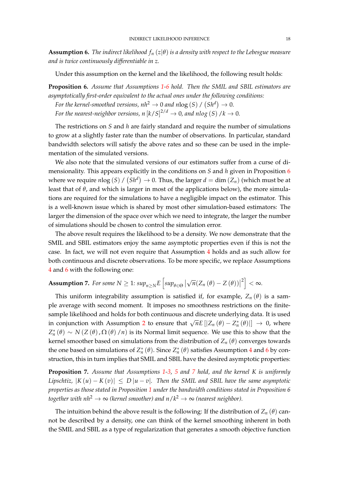<span id="page-18-0"></span>**Assumption 6.** *The indirect likelihood*  $f_n(z|\theta)$  *is a density with respect to the Lebesgue measure and is twice continuously differentiable in z.*

Under this assumption on the kernel and the likelihood, the following result holds:

<span id="page-18-1"></span>**Proposition 6.** *Assume that Assumptions [1-](#page-9-0)[6](#page-18-0) hold. Then the SMIL and SBIL estimators are asymptotically first-order equivalent to the actual ones under the following conditions:*

*For the kernel-smoothed versions, nh*<sup>2</sup>  $\rightarrow$  0 *and n*log (*S*) / (*Sh<sup>d</sup>*)  $\rightarrow$  0*. For the nearest-neighbor versions, n*  $\left[ k/S \right]^{2/d} \rightarrow 0$ , and nlog (S) /k  $\rightarrow$  0.

The restrictions on *S* and *h* are fairly standard and require the number of simulations to grow at a slightly faster rate than the number of observations. In particular, standard bandwidth selectors will satisfy the above rates and so these can be used in the implementation of the simulated versions.

We also note that the simulated versions of our estimators suffer from a curse of dimensionality. This appears explicitly in the conditions on *S* and *h* given in Proposition [6](#page-18-1) where we require  $nlog(S)$  /  $\left(Sh^{d}\right) \rightarrow 0$ . Thus, the larger  $d = \dim\left(Z_{n}\right)$  (which must be at least that of *θ*, and which is larger in most of the applications below), the more simulations are required for the simulations to have a negligible impact on the estimator. This is a well-known issue which is shared by most other simulation-based estimators: The larger the dimension of the space over which we need to integrate, the larger the number of simulations should be chosen to control the simulation error.

The above result requires the likelihood to be a density. We now demonstrate that the SMIL and SBIL estimators enjoy the same asymptotic properties even if this is not the case. In fact, we will not even require that Assumption [4](#page-11-0) holds and as such allow for both continuous and discrete observations. To be more specific, we replace Assumptions [4](#page-11-0) and [6](#page-18-0) with the following one:

<span id="page-18-2"></span>**Assumption 7.** For some 
$$
N \geq 1
$$
:  $\sup_{n \geq N} E \left[ \sup_{\theta \in \Theta} \left| \sqrt{n} (Z_n(\theta) - Z(\theta)) \right|^2 \right] < \infty$ .

This uniform integrability assumption is satisfied if, for example,  $Z_n(\theta)$  is a sample average with second moment. It imposes no smoothness restrictions on the finitesample likelihood and holds for both continuous and discrete underlying data. It is used in conjunction with Assumption [2](#page-10-1) to ensure that  $\sqrt{n}E[|Z_n(\theta) - Z_n^*(\theta)|] \rightarrow 0$ , where  $Z_n^*$  (*θ*) ∼ *N* (*Z* (*θ*),  $\Omega$  (*θ*) /*n*) is its Normal limit sequence. We use this to show that the kernel smoother based on simulations from the distribution of  $Z_n(\theta)$  converges towards the one based on simulations of  $Z_n^*$  ( $\theta$ ). Since  $Z_n^*$  ( $\theta$ ) satisfies Assumption [4](#page-11-0) and [6](#page-18-0) by construction, this in turn implies that SMIL and SBIL have the desired asymptotic properties:

<span id="page-18-3"></span>**Proposition 7.** *Assume that Assumptions [1](#page-9-0)[-3,](#page-10-0) [5](#page-17-1) and [7](#page-18-2) hold, and the kernel K is uniformly Lipschtiz,*  $|K(u) - K(v)| \le D |u - v|$ . Then the SMIL and SBIL have the same asymptotic *properties as those stated in Proposition [1](#page-13-0) under the bandwidth conditions stated in Proposition 6 together with nh*<sup>2</sup> → ∞ *(kernel smoother) and n*/*k* <sup>2</sup> → ∞ *(nearest neighbor).*

The intuition behind the above result is the following: If the distribution of  $Z_n(\theta)$  cannot be described by a density, one can think of the kernel smoothing inherent in both the SMIL and SBIL as a type of regularization that generates a smooth objective function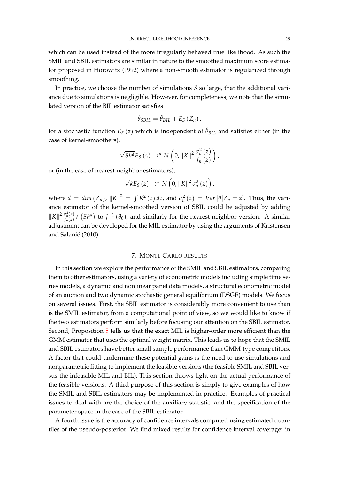which can be used instead of the more irregularly behaved true likelihood. As such the SMIL and SBIL estimators are similar in nature to the smoothed maximum score estima-

smoothing. In practice, we choose the number of simulations *S* so large, that the additional variance due to simulations is negligible. However, for completeness, we note that the simulated version of the BIL estimator satisfies

tor proposed in Horowitz (1992) where a non-smooth estimator is regularized through

$$
\hat{\theta}_{SBIL} = \hat{\theta}_{BIL} + E_S(Z_n),
$$

for a stochastic function  $E_S(z)$  which is independent of  $\hat{\theta}_{BIL}$  and satisfies either (in the case of kernel-smoothers),

$$
\sqrt{Sh^{d}}E_{S}\left(z\right)\rightarrow^{d}N\left(0,\left\Vert K\right\Vert ^{2}\frac{\sigma_{n}^{2}\left(z\right)}{f_{n}\left(z\right)}\right),\,
$$

or (in the case of nearest-neighbor estimators),

$$
\sqrt{k}E_{S}\left(z\right)\rightarrow^{d}N\left(0,\left\Vert K\right\Vert ^{2}\sigma_{n}^{2}\left(z\right)\right),\,
$$

where  $d = dim(Z_n)$ ,  $||K||^2 = \int K^2(z) dz$ , and  $\sigma_n^2(z) = Var[\theta|Z_n = z]$ . Thus, the variance estimator of the kernel-smoothed version of SBIL could be adjusted by adding  $||K||^2 \frac{\sigma_n^2(z)}{f_n(z)}$  $\frac{f_n^2(z)}{f_n(z)}/\left(Sh^d\right)$  to  $J^{-1}\left(\theta_0\right)$ , and similarly for the nearest-neighbor version. A similar adjustment can be developed for the MIL estimator by using the arguments of Kristensen and Salanié (2010).

# 7. MONTE CARLO RESULTS

In this section we explore the performance of the SMIL and SBIL estimators, comparing them to other estimators, using a variety of econometric models including simple time series models, a dynamic and nonlinear panel data models, a structural econometric model of an auction and two dynamic stochastic general equilibrium (DSGE) models. We focus on several issues. First, the SBIL estimator is considerably more convenient to use than is the SMIL estimator, from a computational point of view, so we would like to know if the two estimators perform similarly before focusing our attention on the SBIL estimator. Second, Proposition [5](#page-17-0) tells us that the exact MIL is higher-order more efficient than the GMM estimator that uses the optimal weight matrix. This leads us to hope that the SMIL and SBIL estimators have better small sample performance than GMM-type competitors. A factor that could undermine these potential gains is the need to use simulations and nonparametric fitting to implement the feasible versions (the feasible SMIL and SBIL versus the infeasible MIL and BIL). This section throws light on the actual performance of the feasible versions. A third purpose of this section is simply to give examples of how the SMIL and SBIL estimators may be implemented in practice. Examples of practical issues to deal with are the choice of the auxiliary statistic, and the specification of the parameter space in the case of the SBIL estimator.

A fourth issue is the accuracy of confidence intervals computed using estimated quantiles of the pseudo-posterior. We find mixed results for confidence interval coverage: in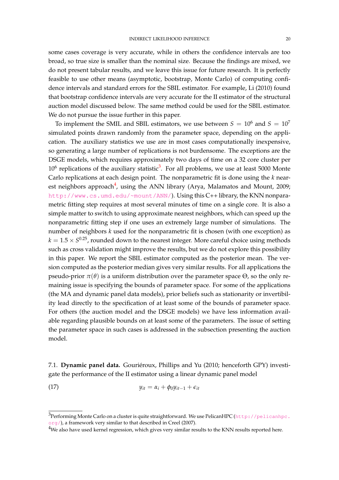some cases coverage is very accurate, while in others the confidence intervals are too broad, so true size is smaller than the nominal size. Because the findings are mixed, we do not present tabular results, and we leave this issue for future research. It is perfectly feasible to use other means (asymptotic, bootstrap, Monte Carlo) of computing confidence intervals and standard errors for the SBIL estimator. For example, Li (2010) found that bootstrap confidence intervals are very accurate for the II estimator of the structural auction model discussed below. The same method could be used for the SBIL estimator. We do not pursue the issue further in this paper.

To implement the SMIL and SBIL estimators, we use between  $S = 10^6$  and  $S = 10^7$ simulated points drawn randomly from the parameter space, depending on the application. The auxiliary statistics we use are in most cases computationally inexpensive, so generating a large number of replications is not burdensome. The exceptions are the DSGE models, which requires approximately two days of time on a 32 core cluster per 10<sup>6</sup> replications of the auxiliary statistic<sup>[3](#page-20-0)</sup>. For all problems, we use at least 5000 Monte Carlo replications at each design point. The nonparametric fit is done using the *k* near-est neighbors approach<sup>[4](#page-20-1)</sup>, using the ANN library (Arya, Malamatos and Mount, 2009; <http://www.cs.umd.edu/~mount/ANN/>). Using this C++ library, the KNN nonparametric fitting step requires at most several minutes of time on a single core. It is also a simple matter to switch to using approximate nearest neighbors, which can speed up the nonparametric fitting step if one uses an extremely large number of simulations. The number of neighbors *k* used for the nonparametric fit is chosen (with one exception) as  $k = 1.5 \times S^{0.25}$ , rounded down to the nearest integer. More careful choice using methods such as cross validation might improve the results, but we do not explore this possibility in this paper. We report the SBIL estimator computed as the posterior mean. The version computed as the posterior median gives very similar results. For all applications the pseudo-prior  $\pi(\theta)$  is a uniform distribution over the parameter space  $\Theta$ , so the only remaining issue is specifying the bounds of parameter space. For some of the applications (the MA and dynamic panel data models), prior beliefs such as stationarity or invertibility lead directly to the specification of at least some of the bounds of parameter space. For others (the auction model and the DSGE models) we have less information available regarding plausible bounds on at least some of the parameters. The issue of setting the parameter space in such cases is addressed in the subsection presenting the auction model.

<span id="page-20-2"></span>7.1. **Dynamic panel data.** Gouriéroux, Phillips and Yu (2010; henceforth GPY) investigate the performance of the II estimator using a linear dynamic panel model

$$
(17) \t\t\t y_{it} = \alpha_i + \phi_0 y_{it-1} + \epsilon_{it}
$$

<span id="page-20-0"></span> $3$ Performing Monte Carlo on a cluster is quite straightforward. We use PelicanHPC ([http://pelicanhpc.](http://pelicanhpc.org/) [org/](http://pelicanhpc.org/)), a framework very similar to that described in Creel (2007).

<span id="page-20-1"></span><sup>&</sup>lt;sup>4</sup>We also have used kernel regression, which gives very similar results to the KNN results reported here.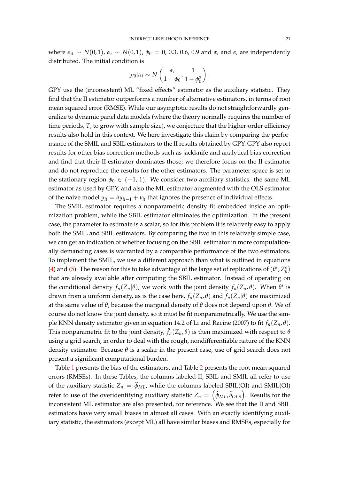where  $\epsilon_{it}$  ∼ *N*(0, 1),  $\alpha_i$  ∼ *N*(0, 1),  $\phi_0$  = 0, 0.3, 0.6, 0.9 and  $\alpha_i$  and  $\epsilon_i$  are independently distributed. The initial condition is

$$
y_{i0}|\alpha_i \sim N\left(\frac{\alpha_i}{1-\phi_0},\frac{1}{1-\phi_0^2}\right).
$$

GPY use the (inconsistent) ML "fixed effects" estimator as the auxiliary statistic. They find that the II estimator outperforms a number of alternative estimators, in terms of root mean squared error (RMSE). While our asymptotic results do not straightforwardly generalize to dynamic panel data models (where the theory normally requires the number of time periods, *T*, to grow with sample size), we conjecture that the higher-order efficiency results also hold in this context. We here investigate this claim by comparing the performance of the SMIL and SBIL estimators to the II results obtained by GPY. GPY also report results for other bias correction methods such as jackknife and analytical bias correction and find that their II estimator dominates those; we therefore focus on the II estimator and do not reproduce the results for the other estimators. The parameter space is set to the stationary region  $\phi_0 \in (-1, 1)$ . We consider two auxiliary statistics: the same ML estimator as used by GPY, and also the ML estimator augmented with the OLS estimator of the naive model  $y_{it} = \delta y_{it-1} + v_{it}$  that ignores the presence of individual effects.

The SMIL estimator requires a nonparametric density fit embedded inside an optimization problem, while the SBIL estimator eliminates the optimization. In the present case, the parameter to estimate is a scalar, so for this problem it is relatively easy to apply both the SMIL and SBIL estimators. By comparing the two in this relatively simple case, we can get an indication of whether focusing on the SBIL estimator in more computationally demanding cases is warranted by a comparable performance of the two estimators. To implement the SMIL, we use a different approach than what is outlined in equations [\(4\)](#page-7-1) and [\(5\)](#page-7-2). The reason for this to take advantage of the large set of replications of  $(\theta^s, Z_n^s)$ that are already available after computing the SBIL estimator. Instead of operating on the conditional density  $f_n(Z_n|\theta)$ , we work with the joint density  $f_n(Z_n,\theta)$ . When  $\theta^s$  is drawn from a uniform density, as is the case here,  $f_n(Z_n, \theta)$  and  $f_n(Z_n | \theta)$  are maximized at the same value of *θ*, because the marginal density of *θ* does not depend upon *θ*. We of course do not know the joint density, so it must be fit nonparametrically. We use the simple KNN density estimator given in equation 14.2 of Li and Racine (2007) to fit  $f_n(Z_n, \theta)$ . This nonparametric fit to the joint density,  $\hat{f}_n(Z_n,\theta)$  is then maximized with respect to  $\theta$ using a grid search, in order to deal with the rough, nondifferentiable nature of the KNN density estimator. Because *θ* is a scalar in the present case, use of grid search does not present a significant computational burden.

Table [1](#page-45-0) presents the bias of the estimators, and Table [2](#page-46-0) presents the root mean squared errors (RMSEs). In these Tables, the columns labeled II, SBIL and SMIL all refer to use of the auxiliary statistic  $Z_n = \hat{\phi}_{ML}$ , while the columns labeled SBIL(OI) and SMIL(OI) refer to use of the overidentifying auxiliary statistic  $Z_n = \left(\widehat{\phi}_{ML}, \widehat{\delta}_{OLS}\right)$ . Results for the inconsistent ML estimator are also presented, for reference. We see that the II and SBIL estimators have very small biases in almost all cases. With an exactly identifying auxiliary statistic, the estimators (except ML) all have similar biases and RMSEs, especially for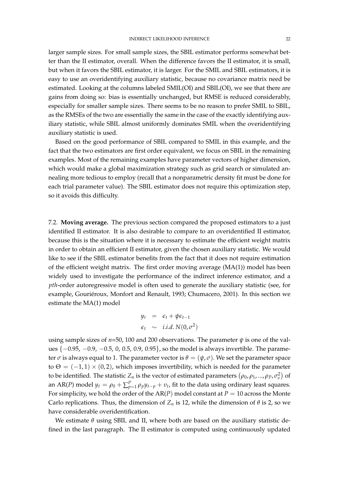larger sample sizes. For small sample sizes, the SBIL estimator performs somewhat better than the II estimator, overall. When the difference favors the II estimator, it is small, but when it favors the SBIL estimator, it is larger. For the SMIL and SBIL estimators, it is easy to use an overidentifying auxiliary statistic, because no covariance matrix need be estimated. Looking at the columns labeled SMIL(OI) and SBIL(OI), we see that there are gains from doing so: bias is essentially unchanged, but RMSE is reduced considerably, especially for smaller sample sizes. There seems to be no reason to prefer SMIL to SBIL, as the RMSEs of the two are essentially the same in the case of the exactly identifying auxiliary statistic, while SBIL almost uniformly dominates SMIL when the overidentifying auxiliary statistic is used.

Based on the good performance of SBIL compared to SMIL in this example, and the fact that the two estimators are first order equivalent, we focus on SBIL in the remaining examples. Most of the remaining examples have parameter vectors of higher dimension, which would make a global maximization strategy such as grid search or simulated annealing more tedious to employ (recall that a nonparametric density fit must be done for each trial parameter value). The SBIL estimator does not require this optimization step, so it avoids this difficulty.

7.2. **Moving average.** The previous section compared the proposed estimators to a just identified II estimator. It is also desirable to compare to an overidentified II estimator, because this is the situation where it is necessary to estimate the efficient weight matrix in order to obtain an efficient II estimator, given the chosen auxiliary statistic. We would like to see if the SBIL estimator benefits from the fact that it does not require estimation of the efficient weight matrix. The first order moving average (MA(1)) model has been widely used to investigate the performance of the indirect inference estimator, and a *pth*-order autoregressive model is often used to generate the auxiliary statistic (see, for example, Gouriéroux*,* Monfort and Renault, 1993; Chumacero, 2001). In this section we estimate the MA(1) model

$$
y_t = \epsilon_t + \psi \epsilon_{t-1}
$$
  

$$
\epsilon_t \sim i.i.d. N(0, \sigma^2)
$$

using sample sizes of  $n=50$ , 100 and 200 observations. The parameter  $\psi$  is one of the values {−0.95, −0.9, −0.5, 0, 0.5, 0.9, 0.95}, so the model is always invertible. The parameter *σ* is always equal to 1. The parameter vector is  $\theta = (\psi, \sigma)$ . We set the parameter space to  $\Theta = (-1, 1) \times (0, 2)$ , which imposes invertibility, which is needed for the parameter to be identified. The statistic  $Z_n$  is the vector of estimated parameters  $(\rho_0, \rho_1, ..., \rho_P, \sigma_v^2)$  of an AR(*P*) model  $y_t = \rho_0 + \sum_{p=1}^P \rho_p y_{t-p} + v_t$ , fit to the data using ordinary least squares. For simplicity, we hold the order of the  $AR(P)$  model constant at  $P = 10$  across the Monte Carlo replications. Thus, the dimension of  $Z_n$  is 12, while the dimension of  $\theta$  is 2, so we have considerable overidentification.

We estimate  $\theta$  using SBIL and II, where both are based on the auxiliary statistic defined in the last paragraph. The II estimator is computed using continuously updated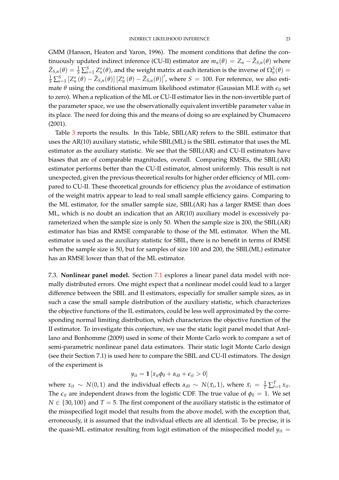GMM (Hanson, Heaton and Yaron, 1996). The moment conditions that define the continuously updated indirect inference (CU-II) estimator are  $m_n(\theta) = Z_n - \bar{Z}_{S,n}(\theta)$  where  $\bar{Z}_{S,n}(\theta) = \frac{1}{S}\sum_{s=1}^{S} Z_n^s(\theta)$ , and the weight matrix at each iteration is the inverse of  $\Omega_n^S(\theta) = 0$  $\frac{1}{S}\sum_{s=1}^{S}[Z_{n}^{s}(\theta)-\bar{Z}_{S,n}(\theta)][Z_{n}^{s}(\theta)-\bar{Z}_{S,n}(\theta)]'$ , where  $S=100$ . For reference, we also estimate  $\theta$  using the conditional maximum likelihood estimator (Gaussian MLE with  $\epsilon_0$  set to zero). When a replication of the ML or CU-II estimator lies in the non-invertible part of the parameter space, we use the observationally equivalent invertible parameter value in its place. The need for doing this and the means of doing so are explained by Chumacero (2001).

Table [3](#page-47-0) reports the results. In this Table, SBIL(AR) refers to the SBIL estimator that uses the AR(10) auxiliary statistic, while SBIL(ML) is the SBIL estimator that uses the ML estimator as the auxiliary statistic. We see that the SBIL(AR) and CU-II estimators have biases that are of comparable magnitudes, overall. Comparing RMSEs, the SBIL(AR) estimator performs better than the CU-II estimator, almost uniformly. This result is not unexpected, given the previous theoretical results for higher order efficiency of MIL compared to CU-II. These theoretical grounds for efficiency plus the avoidance of estimation of the weight matrix appear to lead to real small sample efficiency gains. Comparing to the ML estimator, for the smaller sample size, SBIL(AR) has a larger RMSE than does ML, which is no doubt an indication that an AR(10) auxiliary model is excessively parameterized when the sample size is only 50. When the sample size is 200, the SBIL(AR) estimator has bias and RMSE comparable to those of the ML estimator. When the ML estimator is used as the auxiliary statistic for SBIL, there is no benefit in terms of RMSE when the sample size is 50, but for samples of size 100 and 200, the SBIL(ML) estimator has an RMSE lower than that of the ML estimator.

7.3. **Nonlinear panel model.** Section [7.1](#page-20-2) explores a linear panel data model with normally distributed errors. One might expect that a nonlinear model could lead to a larger difference between the SBIL and II estimators, especially for smaller sample sizes, as in such a case the small sample distribution of the auxiliary statistic, which characterizes the objective functions of the IL estimators, could be less well approximated by the corresponding normal limiting distribution, which characterizes the objective function of the II estimator. To investigate this conjecture, we use the static logit panel model that Arellano and Bonhomme (2009) used in some of their Monte Carlo work to compare a set of semi-parametric nonlinear panel data estimators. Their static logit Monte Carlo design (see their Section 7.1) is used here to compare the SBIL and CU-II estimators. The design of the experiment is

$$
y_{it} = \mathbf{1} \left[ x_{it} \phi_0 + \alpha_{i0} + \epsilon_{it} > 0 \right]
$$

where  $x_{it} \sim N(0, 1)$  and the individual effects  $\alpha_{i0} \sim N(\bar{x}_i, 1)$ , where  $\bar{x}_i = \frac{1}{T} \sum_{t=1}^{T} x_{it}$ . The  $\epsilon_{it}$  are independent draws from the logistic CDF. The true value of  $\phi_0 = 1$ . We set  $N \in \{30, 100\}$  and  $T = 5$ . The first component of the auxiliary statistic is the estimator of the misspecified logit model that results from the above model, with the exception that, erroneously, it is assumed that the individual effects are all identical. To be precise, it is the quasi-ML estimator resulting from logit estimation of the misspecified model  $y_{it}$  =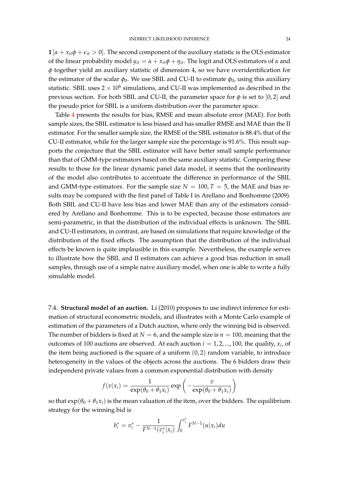**1** [ $\alpha + x_{it}\phi + \epsilon_{it} > 0$ ]. The second component of the auxiliary statistic is the OLS estimator of the linear probability model  $y_{it} = \alpha + x_{it} \phi + \eta_{it}$ . The logit and OLS estimators of  $\alpha$  and *φ* together yield an auxiliary statistic of dimension 4, so we have overidentification for the estimator of the scalar  $\phi_0$ . We use SBIL and CU-II to estimate  $\phi_0$ , using this auxiliary statistic. SBIL uses  $2 \times 10^6$  simulations, and CU-II was implemented as described in the previous section. For both SBIL and CU-II, the parameter space for  $\phi$  is set to [0, 2] and the pseudo prior for SBIL is a uniform distribution over the parameter space.

Table [4](#page-47-1) presents the results for bias, RMSE and mean absolute error (MAE). For both sample sizes, the SBIL estimator is less biased and has smaller RMSE and MAE than the II estimator. For the smaller sample size, the RMSE of the SBIL estimator is 88.4% that of the CU-II estimator, while for the larger sample size the percentage is 91.6%. This result supports the conjecture that the SBIL estimator will have better small sample performance than that of GMM-type estimators based on the same auxiliary statistic. Comparing these results to those for the linear dynamic panel data model, it seems that the nonlinearity of the model also contributes to accentuate the difference in performance of the SBIL and GMM-type estimators. For the sample size  $N = 100$ ,  $T = 5$ , the MAE and bias results may be compared with the first panel of Table I in Arellano and Bonhomme (2009). Both SBIL and CU-II have less bias and lower MAE than any of the estimators considered by Arellano and Bonhomme. This is to be expected, because those estimators are semi-parametric, in that the distribution of the individual effects is unknown. The SBIL and CU-II estimators, in contrast, are based on simulations that require knowledge of the distribution of the fixed effects. The assumption that the distribution of the individual effects be known is quite implausible in this example. Nevertheless, the example serves to illustrate how the SBIL and II estimators can achieve a good bias reduction in small samples, through use of a simple naive auxiliary model, when one is able to write a fully simulable model.

7.4. **Structural model of an auction.** Li (2010) proposes to use indirect inference for estimation of structural econometric models, and illustrates with a Monte Carlo example of estimation of the parameters of a Dutch auction, where only the winning bid is observed. The number of bidders is fixed at  $N = 6$ , and the sample size is  $n = 100$ , meaning that the outcomes of 100 auctions are observed. At each auction  $i = 1, 2, ..., 100$ , the quality,  $x_i$ , of the item being auctioned is the square of a uniform  $(0, 2)$  random variable, to introduce heterogeneity in the values of the objects across the auctions. The 6 bidders draw their independent private values from a common exponential distribution with density

$$
f(v|x_i) = \frac{1}{\exp(\theta_0 + \theta_1 x_i)} \exp\left(-\frac{v}{\exp(\theta_0 + \theta_1 x_i)}\right)
$$

so that  $\exp(\theta_0 + \theta_1 x_i)$  is the mean valuation of the item, over the bidders. The equilibrium strategy for the winning bid is

$$
b_i^* = v_i^* - \frac{1}{F^{N-1}(v_i^*|x_i)} \int_0^{v_i^*} F^{N-1}(u|x_i) du
$$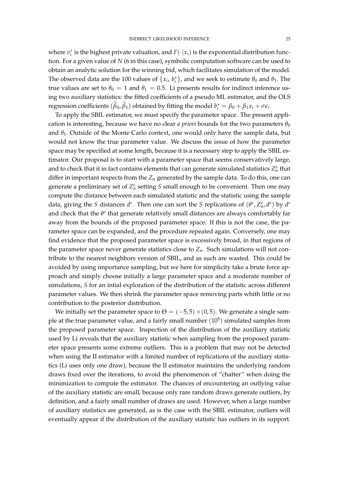where  $v_i^*$  is the highest private valuation, and  $F(\cdot|x_i)$  is the exponential distribution function. For a given value of *N* (6 in this case), symbolic computation software can be used to obtain an analytic solution for the winning bid, which facilitates simulation of the model. The observed data are the 100 values of  $\{x_i, b_i^*\}$ , and we seek to estimate  $\theta_0$  and  $\theta_1$ . The true values are set to  $\theta_0 = 1$  and  $\theta_1 = 0.5$ . Li presents results for indirect inference using two auxiliary statistics: the fitted coefficients of a pseudo ML estimator, and the OLS regression coefficients  $(\hat{\beta}_0, \hat{\beta}_1)$  obtained by fitting the model  $b_i^* = \beta_0 + \beta_1 x_i + \sigma \epsilon_i$ .

To apply the SBIL estimator, we must specify the parameter space. The present application is interesting, because we have no clear *a priori* bounds for the two parameters  $\theta_0$ and *θ*1. Outside of the Monte Carlo context, one would only have the sample data, but would not know the true parameter value. We discuss the issue of how the parameter space may be specified at some length, because it is a necessary step to apply the SBIL estimator. Our proposal is to start with a parameter space that seems conservatively large, and to check that it in fact contains elements that can generate simulated statistics  $Z_n^s$  that differ in important respects from the  $Z_n$  generated by the sample data. To do this, one can generate a preliminary set of  $Z_n^s$  setting *S* small enough to be convenient. Then one may compute the distance between each simulated statistic and the statistic using the sample data, giving the *S* distances  $d^s$ . Then one can sort the *S* replications of  $(\theta^s, Z_n^s, d^s)$  by  $d^s$ and check that the *θ<sup>s</sup>* that generate relatively small distances are always comfortably far away from the bounds of the proposed parameter space. If this is not the case, the parameter space can be expanded, and the procedure repeated again. Conversely, one may find evidence that the proposed parameter space is excessively broad, in that regions of the parameter space never generate statistics close to *Zn*. Such simulations will not contribute to the nearest neighbors version of SBIL, and as such are wasted. This could be avoided by using importance sampling, but we here for simplicity take a brute force approach and simply choose initially a large parameter space and a moderate number of simulations, *S* for an intial exploration of the distribution of the statistic across different parameter values. We then shrink the parameter space removing parts whith little or no contribution to the posterior distribution.

We initially set the parameter space to  $\Theta = (-5, 5) \times (0, 5)$ . We generate a single sample at the true parameter value, and a fairly small number  $(10^5)$  simulated samples from the proposed parameter space. Inspection of the distribution of the auxiliary statistic used by Li reveals that the auxiliary statistic when sampling from the proposed parameter space presents some extreme outliers. This is a problem that may not be detected when using the II estimator with a limited number of replications of the auxiliary statistics (Li uses only one draw), because the II estimator maintains the underlying random draws fixed over the iterations, to avoid the phenomenon of "chatter" when doing the minimization to compute the estimator. The chances of encountering an outlying value of the auxiliary statistic are small, because only rare random draws generate outliers, by definition, and a fairly small number of draws are used. However, when a large number of auxiliary statistics are generated, as is the case with the SBIL estimator, outliers will eventually appear if the distribution of the auxiliary statistic has outliers in its support.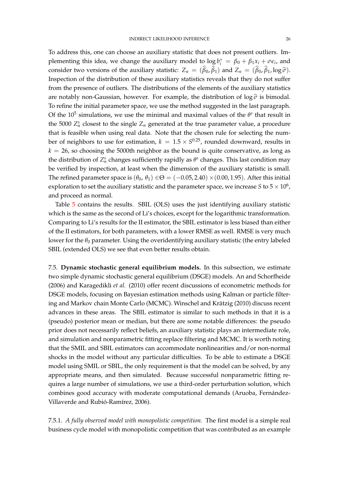To address this, one can choose an auxiliary statistic that does not present outliers. Implementing this idea, we change the auxiliary model to  $\log b_i^* = \beta_0 + \beta_1 x_i + \sigma \epsilon_i$ , and consider two versions of the auxiliary statistic:  $Z_n = (\hat{\beta}_0, \hat{\beta}_1)$  and  $Z_n = (\hat{\beta}_0, \hat{\beta}_1, \log \hat{\sigma})$ . Inspection of the distribution of these auxiliary statistics reveals that they do not suffer from the presence of outliers. The distributions of the elements of the auxiliary statistics are notably non-Gaussian, however. For example, the distribution of  $\log \hat{\sigma}$  is bimodal. To refine the initial parameter space, we use the method suggested in the last paragraph. Of the  $10^5$  simulations, we use the minimal and maximal values of the  $\theta^s$  that result in the 5000  $Z_n^s$  closest to the single  $Z_n$  generated at the true parameter value, a procedure that is feasible when using real data. Note that the chosen rule for selecting the number of neighbors to use for estimation,  $k = 1.5 \times S^{0.25}$ , rounded downward, results in  $k = 26$ , so choosing the 5000th neighbor as the bound is quite conservative, as long as the distribution of  $Z_n^s$  changes sufficiently rapidly as  $\theta^s$  changes. This last condition may be verified by inspection, at least when the dimension of the auxiliary statistic is small. The refined parameter space is  $(\theta_0, \theta_1) \in \Theta = (-0.05, 2.40) \times (0.00, 1.95)$ . After this initial exploration to set the auxiliary statistic and the parameter space, we increase  $S$  to  $5\times10^6$ , and proceed as normal.

Table [5](#page-47-2) contains the results. SBIL (OLS) uses the just identifying auxiliary statistic which is the same as the second of Li's choices, except for the logarithmic transformation. Comparing to Li's results for the II estimator, the SBIL estimator is less biased than either of the II estimators, for both parameters, with a lower RMSE as well. RMSE is very much lower for the  $\theta_0$  parameter. Using the overidentifying auxiliary statistic (the entry labeled SBIL (extended OLS) we see that even better results obtain.

7.5. **Dynamic stochastic general equilibrium models.** In this subsection, we estimate two simple dynamic stochastic general equilibrium (DSGE) models. An and Schorfheide (2006) and Karagedikli *et al.* (2010) offer recent discussions of econometric methods for DSGE models, focusing on Bayesian estimation methods using Kalman or particle filtering and Markov chain Monte Carlo (MCMC). Winschel and Krätzig (2010) discuss recent advances in these areas. The SBIL estimator is similar to such methods in that it is a (pseudo) posterior mean or median, but there are some notable differences: the pseudo prior does not necessarily reflect beliefs, an auxiliary statistic plays an intermediate role, and simulation and nonparametric fitting replace filtering and MCMC. It is worth noting that the SMIL and SBIL estimators can accommodate nonlinearities and/or non-normal shocks in the model without any particular difficulties. To be able to estimate a DSGE model using SMIL or SBIL, the only requirement is that the model can be solved, by any appropriate means, and then simulated. Because successful nonparametric fitting requires a large number of simulations, we use a third-order perturbation solution, which combines good accuracy with moderate computational demands (Aruoba, Fernández-Villaverde and Rubió-Ramírez*,* 2006).

7.5.1. *A fully observed model with monopolistic competition.* The first model is a simple real business cycle model with monopolistic competition that was contributed as an example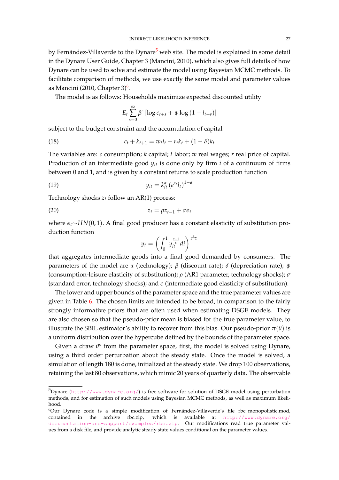by Fernández-Villaverde to the Dynare<sup>[5](#page-27-0)</sup> web site. The model is explained in some detail in the Dynare User Guide, Chapter 3 (Mancini, 2010), which also gives full details of how Dynare can be used to solve and estimate the model using Bayesian MCMC methods. To facilitate comparison of methods, we use exactly the same model and parameter values as Mancini (2010, Chapter 3) $^6$  $^6$ .

The model is as follows: Households maximize expected discounted utility

<span id="page-27-2"></span>
$$
E_t \sum_{s=0}^{\infty} \beta^s \left[ \log c_{t+s} + \psi \log \left( 1 - l_{t+s} \right) \right]
$$

subject to the budget constraint and the accumulation of capital

(18) 
$$
c_t + k_{t+1} = w_t l_t + r_t k_t + (1 - \delta) k_t
$$

The variables are: *c* consumption; *k* capital; *l* labor; *w* real wages; *r* real price of capital. Production of an intermediate good *yit* is done only by firm *i* of a continuum of firms between 0 and 1, and is given by a constant returns to scale production function

$$
(19) \t\t\t y_{it} = k_{it}^{\alpha} \left( e^{z_t} l_t \right)^{1-\alpha}
$$

Technology shocks  $z_t$  follow an AR(1) process:

$$
(20) \t\t\t\t z_t = \rho z_{t-1} + \sigma \epsilon_t
$$

where *et*∼*I IN*(0, 1). A final good producer has a constant elasticity of substitution production function *e*−1

<span id="page-27-4"></span><span id="page-27-3"></span>
$$
y_t = \left(\int_0^1 y_{it}^{\frac{\epsilon - 1}{\epsilon}} dt\right)^{\frac{\epsilon}{\epsilon - 1}}
$$

that aggregates intermediate goods into a final good demanded by consumers. The parameters of the model are *α* (technology); *β* (discount rate); *δ* (depreciation rate); *ψ* (consumption-leisure elasticity of substitution); *ρ* (AR1 parameter, technology shocks); *σ* (standard error, technology shocks); and  $\epsilon$  (intermediate good elasticity of substitution).

The lower and upper bounds of the parameter space and the true parameter values are given in Table [6.](#page-48-0) The chosen limits are intended to be broad, in comparison to the fairly strongly informative priors that are often used when estimating DSGE models. They are also chosen so that the pseudo-prior mean is biased for the true parameter value, to illustrate the SBIL estimator's ability to recover from this bias. Our pseudo-prior *π*(*θ*) is a uniform distribution over the hypercube defined by the bounds of the parameter space.

Given a draw θ<sup>s</sup> from the parameter space, first, the model is solved using Dynare, using a third order perturbation about the steady state. Once the model is solved, a simulation of length 180 is done, initialized at the steady state. We drop 100 observations, retaining the last 80 observations, which mimic 20 years of quarterly data. The observable

<span id="page-27-0"></span><sup>5</sup>Dynare (<http://www.dynare.org/>) is free software for solution of DSGE model using perturbation methods, and for estimation of such models using Bayesian MCMC methods, as well as maximum likelihood.

<span id="page-27-1"></span> $6$ Our Dynare code is a simple modification of Fernández-Villaverde's file rbc monopolistic.mod, contained in the archive rbc.zip, which is available at  $http://www.dynare.org/$ [documentation-and-support/examples/rbc.zip](http://www.dynare.org/documentation-and-support/examples/rbc.zip). Our modifications read true parameter values from a disk file, and provide analytic steady state values conditional on the parameter values.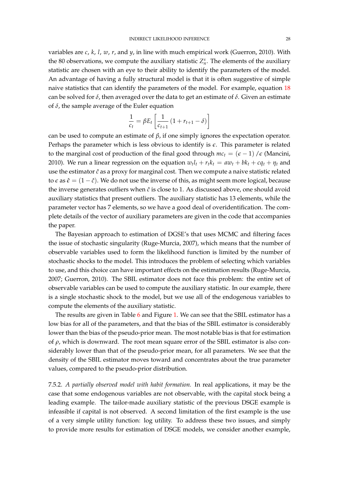variables are *c*, *k*, *l*, *w*, *r*, and *y*, in line with much empirical work (Guerron, 2010). With the 80 observations, we compute the auxiliary statistic  $Z_n^s$ . The elements of the auxiliary statistic are chosen with an eye to their ability to identify the parameters of the model. An advantage of having a fully structural model is that it is often suggestive of simple naive statistics that can identify the parameters of the model. For example, equation [18](#page-27-2) can be solved for *δ*, then averaged over the data to get an estimate of *δ*. Given an estimate of  $\delta$ , the sample average of the Euler equation

$$
\frac{1}{c_t} = \beta E_t \left[ \frac{1}{c_{t+1}} \left( 1 + r_{t+1} - \delta \right) \right]
$$

can be used to compute an estimate of *β*, if one simply ignores the expectation operator. Perhaps the parameter which is less obvious to identify is *e*. This parameter is related to the marginal cost of production of the final good through  $mc_t = (\epsilon - 1) / \epsilon$  (Mancini, 2010). We run a linear regression on the equation  $w_t l_t + r_t k_t = aw_t + bk_t + cq_t + \eta_t$  and use the estimator  $\hat{c}$  as a proxy for marginal cost. Then we compute a naive statistic related to  $\epsilon$  as  $\hat{\epsilon} = (1 - \hat{\epsilon})$ . We do not use the inverse of this, as might seem more logical, because the inverse generates outliers when  $\hat{c}$  is close to 1. As discussed above, one should avoid auxiliary statistics that present outliers. The auxiliary statistic has 13 elements, while the parameter vector has 7 elements, so we have a good deal of overidentification. The complete details of the vector of auxiliary parameters are given in the code that accompanies the paper.

The Bayesian approach to estimation of DGSE's that uses MCMC and filtering faces the issue of stochastic singularity (Ruge-Murcia, 2007), which means that the number of observable variables used to form the likelihood function is limited by the number of stochastic shocks to the model. This introduces the problem of selecting which variables to use, and this choice can have important effects on the estimation results (Ruge-Murcia, 2007; Guerron, 2010). The SBIL estimator does not face this problem: the entire set of observable variables can be used to compute the auxiliary statistic. In our example, there is a single stochastic shock to the model, but we use all of the endogenous variables to compute the elements of the auxiliary statistic.

The results are given in Table [6](#page-48-0) and Figure [1.](#page-49-0) We can see that the SBIL estimator has a low bias for all of the parameters, and that the bias of the SBIL estimator is considerably lower than the bias of the pseudo-prior mean. The most notable bias is that for estimation of *ρ*, which is downward. The root mean square error of the SBIL estimator is also considerably lower than that of the pseudo-prior mean, for all parameters. We see that the density of the SBIL estimator moves toward and concentrates about the true parameter values, compared to the pseudo-prior distribution.

7.5.2. *A partially observed model with habit formation.* In real applications, it may be the case that some endogenous variables are not observable, with the capital stock being a leading example. The tailor-made auxiliary statistic of the previous DSGE example is infeasible if capital is not observed. A second limitation of the first example is the use of a very simple utility function: log utility. To address these two issues, and simply to provide more results for estimation of DSGE models, we consider another example,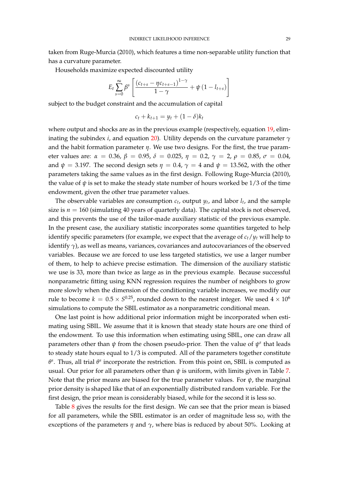taken from Ruge-Murcia (2010), which features a time non-separable utility function that has a curvature parameter.

Households maximize expected discounted utility

$$
E_t \sum_{s=0}^{\infty} \beta^s \left[ \frac{\left(c_{t+s} - \eta c_{t+s-1}\right)^{1-\gamma}}{1-\gamma} + \psi \left(1 - l_{t+s}\right) \right]
$$

subject to the budget constraint and the accumulation of capital

$$
c_t + k_{t+1} = y_t + (1 - \delta)k_t
$$

where output and shocks are as in the previous example (respectively, equation [19,](#page-27-3) eliminating the subindex *i*, and equation [20\)](#page-27-4). Utility depends on the curvature parameter *γ* and the habit formation parameter *η*. We use two designs. For the first, the true parameter values are:  $\alpha = 0.36$ ,  $\beta = 0.95$ ,  $\delta = 0.025$ ,  $\eta = 0.2$ ,  $\gamma = 2$ ,  $\rho = 0.85$ ,  $\sigma = 0.04$ , and  $\psi = 3.197$ . The second design sets  $\eta = 0.4$ ,  $\gamma = 4$  and  $\psi = 13.562$ , with the other parameters taking the same values as in the first design. Following Ruge-Murcia (2010), the value of  $\psi$  is set to make the steady state number of hours worked be 1/3 of the time endowment, given the other true parameter values.

The observable variables are consumption  $c_t$ , output  $y_t$ , and labor  $l_t$ , and the sample size is  $n = 160$  (simulating 40 years of quarterly data). The capital stock is not observed, and this prevents the use of the tailor-made auxiliary statistic of the previous example. In the present case, the auxiliary statistic incorporates some quantities targeted to help identify specific parameters (for example, we expect that the average of *ct*/*y<sup>t</sup>* will help to identify *γ*), as well as means, variances, covariances and autocovariances of the observed variables. Because we are forced to use less targeted statistics, we use a larger number of them, to help to achieve precise estimation. The dimension of the auxiliary statistic we use is 33, more than twice as large as in the previous example. Because successful nonparametric fitting using KNN regression requires the number of neighbors to grow more slowly when the dimension of the conditioning variable increases, we modify our rule to become  $k\,=\,0.5\times S^{0.25}$ , rounded down to the nearest integer. We used  $4\times 10^6$ simulations to compute the SBIL estimator as a nonparametric conditional mean.

One last point is how additional prior information might be incorporated when estimating using SBIL. We assume that it is known that steady state hours are one third of the endowment. To use this information when estimating using SBIL, one can draw all parameters other than *ψ* from the chosen pseudo-prior. Then the value of *ψ s* that leads to steady state hours equal to 1/3 is computed. All of the parameters together constitute *θ s* . Thus, all trial *θ s* incorporate the restriction. From this point on, SBIL is computed as usual. Our prior for all parameters other than  $\psi$  is uniform, with limits given in Table [7.](#page-48-1) Note that the prior means are biased for the true parameter values. For  $\psi$ , the marginal prior density is shaped like that of an exponentially distributed random variable. For the first design, the prior mean is considerably biased, while for the second it is less so.

Table [8](#page-48-2) gives the results for the first design. We can see that the prior mean is biased for all parameters, while the SBIL estimator is an order of magnitude less so, with the exceptions of the parameters  $\eta$  and  $\gamma$ , where bias is reduced by about 50%. Looking at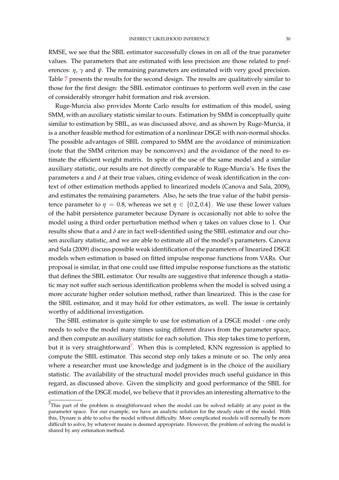RMSE, we see that the SBIL estimator successfully closes in on all of the true parameter values. The parameters that are estimated with less precision are those related to preferences: *η*, *γ* and *ψ*. The remaining parameters are estimated with very good precision. Table [7](#page-48-1) presents the results for the second design. The results are qualitatively similar to those for the first design: the SBIL estimator continues to perform well even in the case of considerably stronger habit formation and risk aversion.

Ruge-Murcia also provides Monte Carlo results for estimation of this model, using SMM, with an auxiliary statistic similar to ours. Estimation by SMM is conceptually quite similar to estimation by SBIL, as was discussed above, and as shown by Ruge-Murcia, it is a another feasible method for estimation of a nonlinear DSGE with non-normal shocks. The possible advantages of SBIL compared to SMM are the avoidance of minimization (note that the SMM criterion may be nonconvex) and the avoidance of the need to estimate the efficient weight matrix. In spite of the use of the same model and a similar auxiliary statistic, our results are not directly comparable to Ruge-Murcia's. He fixes the parameters *α* and *δ* at their true values, citing evidence of weak identification in the context of other estimation methods applied to linearized models (Canova and Sala, 2009), and estimates the remaining parameters. Also, he sets the true value of the habit persistence parameter to  $\eta = 0.8$ , whereas we set  $\eta \in \{0.2, 0.4\}$ . We use these lower values of the habit persistence parameter because Dynare is occasionally not able to solve the model using a third order perturbation method when *η* takes on values close to 1. Our results show that *α* and *δ* are in fact well-identified using the SBIL estimator and our chosen auxiliary statistic, and we are able to estimate all of the model's parameters. Canova and Sala (2009) discuss possible weak identification of the parameters of linearized DSGE models when estimation is based on fitted impulse response functions from VARs. Our proposal is similar, in that one could use fitted impulse response functions as the statistic that defines the SBIL estimator. Our results are suggestive that inference though a statistic may not suffer such serious identification problems when the model is solved using a more accurate higher order solution method, rather than linearized. This is the case for the SBIL estimator, and it may hold for other estimators, as well. The issue is certainly worthy of additional investigation.

The SBIL estimator is quite simple to use for estimation of a DSGE model - one only needs to solve the model many times using different draws from the parameter space, and then compute an auxiliary statistic for each solution. This step takes time to perform, but it is very straightforward<sup>[7](#page-30-0)</sup>. When this is completed, KNN regression is applied to compute the SBIL estimator. This second step only takes a minute or so. The only area where a researcher must use knowledge and judgment is in the choice of the auxiliary statistic. The availability of the structural model provides much useful guidance in this regard, as discussed above. Given the simplicity and good performance of the SBIL for estimation of the DSGE model, we believe that it provides an interesting alternative to the

<span id="page-30-0"></span> $7$ This part of the problem is straightforward when the model can be solved reliably at any point in the parameter space. For our example, we have an analytic solution for the steady state of the model. With this, Dynare is able to solve the model without difficulty. More complicated models will normally be more difficult to solve, by whatever means is deemed appropriate. However, the problem of solving the model is shared by any estimation method.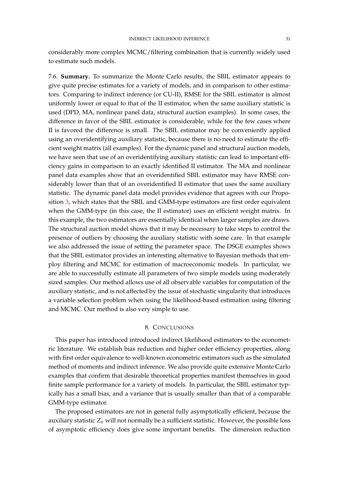considerably more complex MCMC/filtering combination that is currently widely used to estimate such models.

7.6. **Summary.** To summarize the Monte Carlo results, the SBIL estimator appears to give quite precise estimates for a variety of models, and in comparison to other estimators. Comparing to indirect inference (or CU-II), RMSE for the SBIL estimator is almost uniformly lower or equal to that of the II estimator, when the same auxiliary statistic is used (DPD, MA, nonlinear panel data, structural auction examples). In some cases, the difference in favor of the SBIL estimator is considerable, while for the few cases where II is favored the difference is small. The SBIL estimator may be conveniently applied using an overidentifying auxiliary statistic, because there is no need to estimate the efficient weight matrix (all examples). For the dynamic panel and structural auction models, we have seen that use of an overidentifying auxiliary statistic can lead to important efficiency gains in comparison to an exactly identified II estimator. The MA and nonlinear panel data examples show that an overidentified SBIL estimator may have RMSE considerably lower than that of an overidentified II estimator that uses the same auxiliary statistic. The dynamic panel data model provides evidence that agrees with our Proposition [3,](#page-14-2) which states that the SBIL and GMM-type estimators are first order equivalent when the GMM-type (in this case, the II estimator) uses an efficient weight matrix. In this example, the two estimators are essentially identical when larger samples are draws. The structural auction model shows that it may be necessary to take steps to control the presence of outliers by choosing the auxiliary statistic with some care. In that example we also addressed the issue of setting the parameter space. The DSGE examples shows that the SBIL estimator provides an interesting alternative to Bayesian methods that employ filtering and MCMC for estimation of macroeconomic models. In particular, we are able to successfully estimate all parameters of two simple models using moderately sized samples. Our method allows use of all observable variables for computation of the auxiliary statistic, and is not affected by the issue of stochastic singularity that introduces a variable selection problem when using the likelihood-based estimation using filtering and MCMC. Our method is also very simple to use.

# 8. CONCLUSIONS

This paper has introduced introduced indirect likelihood estimators to the econometric literature. We establish bias reduction and higher order efficiency properties, along with first order equivalence to well-known econometric estimators such as the simulated method of moments and indirect inference. We also provide quite extensive Monte Carlo examples that confirm that desirable theoretical properties manifest themselves in good finite sample performance for a variety of models. In particular, the SBIL estimator typically has a small bias, and a variance that is usually smaller than that of a comparable GMM-type estimator.

The proposed estimators are not in general fully asymptotically efficient, because the auxiliary statistic  $Z_n$  will not normally be a sufficient statistic. However, the possible loss of asymptotic efficiency does give some important benefits. The dimension reduction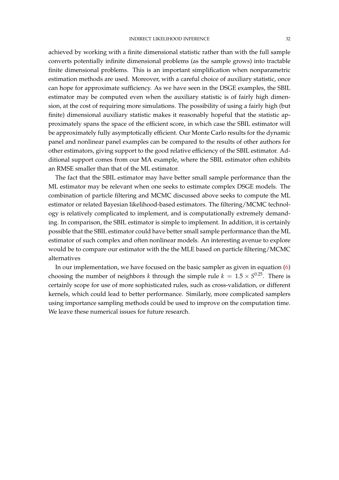achieved by working with a finite dimensional statistic rather than with the full sample converts potentially infinite dimensional problems (as the sample grows) into tractable finite dimensional problems. This is an important simplification when nonparametric estimation methods are used. Moreover, with a careful choice of auxiliary statistic, once can hope for approximate sufficiency. As we have seen in the DSGE examples, the SBIL estimator may be computed even when the auxiliary statistic is of fairly high dimension, at the cost of requiring more simulations. The possibility of using a fairly high (but finite) dimensional auxiliary statistic makes it reasonably hopeful that the statistic approximately spans the space of the efficient score, in which case the SBIL estimator will be approximately fully asymptotically efficient. Our Monte Carlo results for the dynamic panel and nonlinear panel examples can be compared to the results of other authors for other estimators, giving support to the good relative efficiency of the SBIL estimator. Additional support comes from our MA example, where the SBIL estimator often exhibits an RMSE smaller than that of the ML estimator.

The fact that the SBIL estimator may have better small sample performance than the ML estimator may be relevant when one seeks to estimate complex DSGE models. The combination of particle filtering and MCMC discussed above seeks to compute the ML estimator or related Bayesian likelihood-based estimators. The filtering/MCMC technology is relatively complicated to implement, and is computationally extremely demanding. In comparison, the SBIL estimator is simple to implement. In addition, it is certainly possible that the SBIL estimator could have better small sample performance than the ML estimator of such complex and often nonlinear models. An interesting avenue to explore would be to compare our estimator with the the MLE based on particle filtering/MCMC alternatives

In our implementation, we have focused on the basic sampler as given in equation  $(6)$ choosing the number of neighbors *k* through the simple rule  $k = 1.5 \times S^{0.25}$ . There is certainly scope for use of more sophisticated rules, such as cross-validation, or different kernels, which could lead to better performance. Similarly, more complicated samplers using importance sampling methods could be used to improve on the computation time. We leave these numerical issues for future research.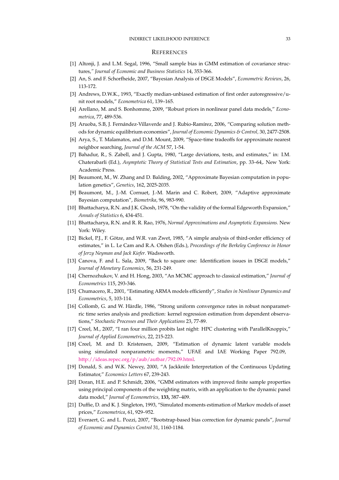#### INDIRECT LIKELIHOOD INFERENCE 33

#### **REFERENCES**

- [1] Altonji, J. and L.M. Segal, 1996, "Small sample bias in GMM estimation of covariance structures,*" Journal of Economic and Business Statistics* 14, 353-366.
- [2] An, S. and F. Schorfheide, 2007, "Bayesian Analysis of DSGE Models", *Econometric Reviews*, 26, 113-172.
- [3] Andrews, D.W.K., 1993, "Exactly median-unbiased estimation of first order autoregressive/unit root models," *Econometrica* 61, 139–165.
- [4] Arellano, M. and S. Bonhomme, 2009, "Robust priors in nonlinear panel data models," *Econometrica*, 77, 489-536.
- [5] Aruoba, S.B, J. Fernández-Villaverde and J. Rubio-Ramírez, 2006, "Comparing solution methods for dynamic equilibrium economies", *Journal of Economic Dynamics & Control,* 30, 2477-2508.
- [6] Arya, S., T. Malamatos, and D.M. Mount, 2009, "Space-time tradeoffs for approximate nearest neighbor searching, *Journal of the ACM* 57, 1-54.
- [7] Bahadur, R., S. Zabell, and J. Gupta, 1980, "Large deviations, tests, and estimates," in: I.M. Chaterabarli (Ed.), *Asymptotic Theory of Statistical Tests and Estimation*, pp. 33–64,. New York: Academic Press.
- [8] Beaumont, M., W. Zhang and D. Balding, 2002, "Approximate Bayesian computation in population genetics", *Genetics*, 162, 2025-2035.
- [9] Beaumont, M., J.-M. Cornuet, J.-M. Marin and C. Robert, 2009, "Adaptive approximate Bayesian computation", *Biometrika*, 96, 983-990.
- [10] Bhattacharya, R.N. and J.K. Ghosh, 1978, "On the validity of the formal Edgeworth Expansion," *Annals of Statistics* 6, 434-451.
- [11] Bhattacharya, R.N. and R. R. Rao, 1976, *Normal Approximations and Asymptotic Expansions.* New York: Wiley.
- [12] Bickel, P.J., F. Götze, and W.R. van Zwet, 1985, "A simple analysis of third-order efficiency of estimates," in L. Le Cam and R.A. Olshen (Eds.), *Proceedings of the Berkeley Conference in Honor of Jerzy Neyman and Jack Kiefer*. Wadsworth.
- [13] Canova, F. and L. Sala, 2009, "Back to square one: Identification issues in DSGE models," *Journal of Monetary Economics*, 56, 231-249.
- [14] Chernozhukov, V. and H. Hong, 2003, "An MCMC approach to classical estimation," *Journal of Econometrics* 115, 293-346.
- [15] Chumacero, R., 2001, "Estimating ARMA models efficiently", *Studies in Nonlinear Dynamics and Econometrics*, 5, 103-114.
- [16] Collomb, G. and W. Härdle, 1986, "Strong uniform convergence rates in robust nonparametric time series analysis and prediction: kernel regression estimation from dependent observations," *Stochastic Processes and Their Applications* 23, 77-89.
- [17] Creel, M., 2007, "I ran four million probits last night: HPC clustering with ParallelKnoppix," *Journal of Applied Econometrics*, 22, 215-223.
- [18] Creel, M. and D. Kristensen, 2009, "Estimation of dynamic latent variable models using simulated nonparametric moments," UFAE and IAE Working Paper 792.09, [http://ideas.repec.org/p/aub/autbar/792.09.html.]( http://ideas.repec.org/p/aub/autbar/792.09.html)
- [19] Donald, S. and W.K. Newey, 2000, "A Jackknife Interpretation of the Continuous Updating Estimator," *Economics Letters* 67, 239-243.
- [20] Doran, H.E. and P. Schmidt, 2006, "GMM estimators with improved finite sample properties using principal components of the weighting matrix, with an application to the dynamic panel data model," *Journal of Econometrics,* **133,** 387–409.
- [21] Duffie, D. and K. J. Singleton, 1993, "Simulated moments estimation of Markov models of asset prices," *Econometrica*, 61, 929–952.
- [22] Everaert, G. and L. Pozzi, 2007, "Bootstrap-based bias correction for dynamic panels", *Journal of Economic and Dynamics Control* 31, 1160-1184.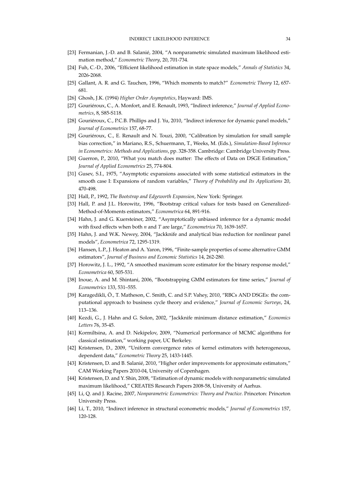- [23] Fermanian, J.-D. and B. Salanié, 2004, "A nonparametric simulated maximum likelihood estimation method," *Econometric Theory*, 20, 701-734.
- [24] Fuh, C.-D., 2006, "Efficient likelihood estimation in state space models," *Annals of Statistics* 34, 2026-2068.
- [25] Gallant, A. R. and G. Tauchen, 1996, "Which moments to match?" *Econometric Theory* 12, 657- 681.
- [26] Ghosh, J.K. (1994) *Higher Order Asymptotics*, Hayward: IMS.
- [27] Gouriéroux, C., A. Monfort, and E. Renault, 1993, "Indirect inference," *Journal of Applied Econometrics*, 8, S85-S118.
- [28] Gouriéroux, C., P.C.B. Phillips and J. Yu, 2010, "Indirect inference for dynamic panel models," *Journal of Econometrics* 157, 68-77.
- [29] Gouriéroux, C., E. Renault and N. Touzi, 2000, "Calibration by simulation for small sample bias correction," in Mariano, R.S., Schuermann, T., Weeks, M. (Eds.), *Simulation-Based Inference in Econometrics: Methods and Applications*, pp. 328-358. Cambridge: Cambridge University Press.
- [30] Guerron, P., 2010, "What you match does matter: The effects of Data on DSGE Estimation," *Journal of Applied Econometrics* 25, 774-804.
- [31] Gusev, S.I., 1975, "Asymptotic expansions associated with some statistical estimators in the smooth case I: Expansions of random variables," *Theory of Probability and Its Applications* 20, 470-498.
- [32] Hall, P., 1992, *The Bootstrap and Edgeworth Expansion*, New York: Springer.
- [33] Hall, P. and J.L. Horowitz, 1996, "Bootstrap critical values for tests based on Generalized-Method-of-Moments estimators," *Econometrica* 64, 891-916.
- [34] Hahn, J. and G. Kuersteiner, 2002, "Asymptotically unbiased inference for a dynamic model with fixed effects when both *n* and *T* are large," *Econometrica* 70, 1639-1657.
- [35] Hahn, J. and W.K. Newey, 2004, "Jackknife and analytical bias reduction for nonlinear panel models", *Econometrica* 72, 1295-1319.
- [36] Hansen, L.P., J. Heaton and A. Yaron, 1996, "Finite-sample properties of some alternative GMM estimators", *Journal of Business and Economic Statistics* 14, 262-280.
- [37] Horowitz, J. L., 1992, "A smoothed maximum score estimator for the binary response model," *Econometrica* 60, 505-531.
- [38] Inoue, A. and M. Shintani, 2006, "Bootstrapping GMM estimators for time series," *Journal of Econometrics* 133, 531–555.
- [39] Karagedikli, Ö., T. Matheson, C. Smith, C. and S.P. Vahey, 2010, "RBCs AND DSGEs: the computational approach to business cycle theory and evidence," *Journal of Economic Surveys*, 24, 113–136.
- [40] Kezdi, G., J. Hahn and G. Solon, 2002, "Jackknife minimum distance estimation," *Economics Letters* 76, 35-45.
- [41] Kormiltsina, A. and D. Nekipelov, 2009, "Numerical performance of MCMC algorithms for classical estimation," working paper, UC Berkeley.
- [42] Kristensen, D., 2009, "Uniform convergence rates of kernel estimators with heterogeneous, dependent data," *Econometric Theory* 25, 1433-1445.
- [43] Kristensen, D. and B. Salanié, 2010, "Higher order improvements for approximate estimators," CAM Working Papers 2010-04, University of Copenhagen.
- [44] Kristensen, D. and Y. Shin, 2008, "Estimation of dynamic models with nonparametric simulated maximum likelihood," CREATES Research Papers 2008-58, University of Aarhus.
- [45] Li, Q. and J. Racine, 2007, *Nonparametric Econometrics: Theory and Practice*. Princeton: Princeton University Press.
- [46] Li, T., 2010, "Indirect inference in structural econometric models," *Journal of Econometrics* 157, 120-128.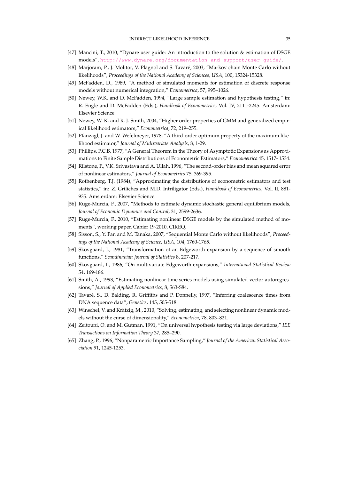- [47] Mancini, T., 2010, "Dynare user guide: An introduction to the solution & estimation of DSGE models", <http://www.dynare.org/documentation-and-support/user-guide/>.
- [48] Marjoram, P., J. Molitor, V. Plagnol and S. Tavaré, 2003, "Markov chain Monte Carlo without likelihoods", *Proceedings of the National Academy of Sciences, USA*, 100, 15324-15328.
- [49] McFadden, D., 1989, "A method of simulated moments for estimation of discrete response models without numerical integration," *Econometrica*, 57, 995–1026.
- [50] Newey, W.K. and D. McFadden, 1994, "Large sample estimation and hypothesis testing," in: R. Engle and D. McFadden (Eds.), *Handbook of Econometrics*, Vol. IV, 2111-2245. Amsterdam: Elsevier Science.
- [51] Newey, W. K. and R. J. Smith, 2004, "Higher order properties of GMM and generalized empirical likelihood estimators," *Econometrica*, 72, 219–255.
- [52] Pfanzagl, J. and W. Wefelmeyer, 1978, "A third-order optimum property of the maximum likelihood estimator," *Journal of Multivariate Analysis*, 8, 1-29.
- [53] Phillips, P.C.B, 1977, "A General Theorem in the Theory of Asymptotic Expansions as Approximations to Finite Sample Distributions of Econometric Estimators," *Econometrica* 45, 1517- 1534.
- [54] Rilstone, P., V.K. Srivastava and A. Ullah, 1996, "The second-order bias and mean squared error of nonlinear estimators," *Journal of Econometrics* 75, 369-395.
- [55] Rothenberg, T.J. (1984), "Approximating the distributions of econometric estimators and test statistics," in: Z. Griliches and M.D. Intriligator (Eds.), *Handbook of Econometrics*, Vol. II, 881- 935. Amsterdam: Elsevier Science.
- [56] Ruge-Murcia, F., 2007, "Methods to estimate dynamic stochastic general equilibrium models, *Journal of Economic Dynamics and Control*, 31, 2599-2636.
- [57] Ruge-Murcia, F., 2010, "Estimating nonlinear DSGE models by the simulated method of moments", working paper, Cahier 19-2010, CIREQ.
- [58] Sisson, S., Y. Fan and M. Tanaka, 2007, "Sequential Monte Carlo without likelihoods", *Proceedings of the National Academy of Science, USA*, 104, 1760-1765.
- [59] Skovgaard, I., 1981, "Transformation of an Edgeworth expansion by a sequence of smooth functions," *Scandinavian Journal of Statistics* 8, 207-217.
- [60] Skovgaard, I., 1986, "On multivariate Edgeworth expansions," *International Statistical Review* 54, 169-186.
- [61] Smith, A., 1993, "Estimating nonlinear time series models using simulated vector autoregressions," *Journal of Applied Econometrics*, 8, S63-S84.
- [62] Tavaré, S., D. Balding, R. Griffiths and P. Donnelly, 1997, "Inferring coalescence times from DNA sequence data", *Genetics*, 145, 505-518.
- [63] Winschel, V. and Krätzig, M., 2010, "Solving, estimating, and selecting nonlinear dynamic models without the curse of dimensionality," *Econometrica*, 78, 803–821.
- [64] Zeitouni, O. and M. Gutman, 1991, "On universal hypothesis testing via large deviations," *IEE Transactions on Information Theory* 37, 285–290.
- [65] Zhang, P., 1996, "Nonparametric Importance Sampling," *Journal of the American Statistical Association* 91, 1245-1253.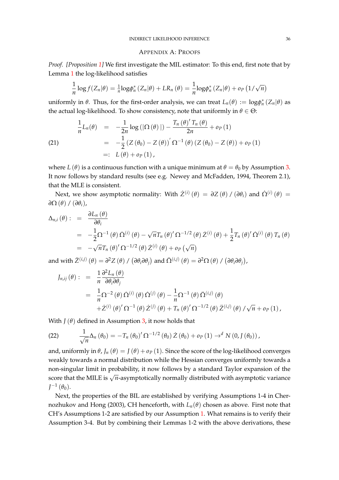## APPENDIX A: PROOFS

*Proof. [Proposition [1\]](#page-13-0)* We first investigate the MIL estimator: To this end, first note that by Lemma [1](#page-12-0) the log-likelihood satisfies

$$
\frac{1}{n}\log f(Z_n|\theta) = \frac{1}{n}\log \phi_n^*(Z_n|\theta) + LR_n(\theta) = \frac{1}{n}\log \phi_n^*(Z_n|\theta) + o_P(1/\sqrt{n})
$$

uniformly in  $\theta$ . Thus, for the first-order analysis, we can treat  $L_n(\theta) := \log \phi_n^* (Z_n | \theta)$  as the actual log-likelihood. To show consistency, note that uniformly in  $\theta \in \Theta$ :

(21) 
$$
\frac{1}{n}L_n(\theta) = -\frac{1}{2n}\log(|\Omega(\theta)|) - \frac{T_n(\theta)'\,T_n(\theta)}{2n} + o_P(1)
$$

$$
= -\frac{1}{2}\left(Z(\theta_0) - Z(\theta)\right)'\,\Omega^{-1}(\theta)\left(Z(\theta_0) - Z(\theta)\right) + o_P(1)
$$

$$
=: L(\theta) + o_P(1),
$$

where  $L(\theta)$  is a continuous function with a unique minimum at  $\theta = \theta_0$  by Assumption [3.](#page-10-0) It now follows by standard results (see e.g. Newey and McFadden, 1994, Theorem 2.1), that the MLE is consistent.

Next, we show asymptotic normality: With  $\dot{Z}^{(i)}(\theta) = \partial Z(\theta)$  /  $(\partial \theta_i)$  and  $\dot{\Omega}^{(i)}(\theta) =$ *∂*Ω (*θ*) / (*∂θi*),

$$
\Delta_{n,i}(\theta) : = \frac{\partial L_n(\theta)}{\partial \theta_i}
$$
  
=  $-\frac{1}{2}\Omega^{-1}(\theta)\dot{\Omega}^{(i)}(\theta) - \sqrt{n}T_n(\theta)'\Omega^{-1/2}(\theta)\dot{Z}^{(i)}(\theta) + \frac{1}{2}T_n(\theta)'\dot{\Omega}^{(i)}(\theta) T_n(\theta)$   
=  $-\sqrt{n}T_n(\theta)'\Omega^{-1/2}(\theta)\dot{Z}^{(i)}(\theta) + o_P(\sqrt{n})$ 

and with  $\ddot{Z}^{(i,j)}\left(\theta\right)=\partial^{2}Z\left(\theta\right)/\left(\partial\theta_{i}\partial\theta_{j}\right)$  and  $\ddot{\Omega}^{\left(i,j\right)}\left(\theta\right)=\partial^{2}\Omega\left(\theta\right)/\left(\partial\theta_{i}\partial\theta_{j}\right)$ ,

$$
J_{n,ij}(\theta) : = \frac{1}{n} \frac{\partial^2 L_n(\theta)}{\partial \theta_i \partial \theta_j}
$$
  
= 
$$
\frac{1}{n} \Omega^{-2}(\theta) \dot{\Omega}^{(i)}(\theta) \dot{\Omega}^{(j)}(\theta) - \frac{1}{n} \Omega^{-1}(\theta) \ddot{\Omega}^{(i,j)}(\theta)
$$
  
+ 
$$
\dot{Z}^{(i)}(\theta)' \Omega^{-1}(\theta) \dot{Z}^{(j)}(\theta) + T_n(\theta)' \Omega^{-1/2}(\theta) \ddot{Z}^{(i,j)}(\theta) / \sqrt{n} + o_P(1),
$$

With  $J(\theta)$  defined in Assumption [3,](#page-10-0) it now holds that

<span id="page-36-0"></span>(22) 
$$
\frac{1}{\sqrt{n}} \Delta_n (\theta_0) = -T_n (\theta_0)' \Omega^{-1/2} (\theta_0) \dot{Z} (\theta_0) + o_P (1) \rightarrow^d N(0, J(\theta_0)),
$$

and, uniformly in  $\theta$ ,  $J_n(\theta) = J(\theta) + o_P(1)$ . Since the score of the log-likelihood converges weakly towards a normal distribution while the Hessian converges uniformly towards a non-singular limit in probability, it now follows by a standard Taylor expansion of the score that the MILE is  $\sqrt{n}$ -asymptotically normally distributed with asymptotic variance *J* −1 (*θ*0).

Next, the properties of the BIL are established by verifying Assumptions 1-4 in Chernozhukov and Hong (2003), CH henceforth, with  $L_n(\theta)$  chosen as above. First note that CH's Assumptions 1-2 are satisfied by our Assumption [1.](#page-9-0) What remains is to verify their Assumption 3-4. But by combining their Lemmas 1-2 with the above derivations, these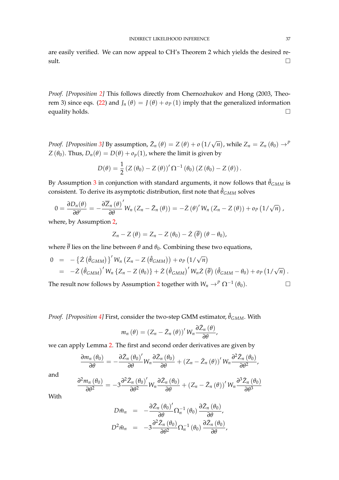are easily verified. We can now appeal to CH's Theorem 2 which yields the desired re- $\Box$ sult.

*Proof. [Proposition [2\]](#page-13-1)* This follows directly from Chernozhukov and Hong (2003, Theo-rem 3) since eqs. [\(22\)](#page-36-0) and  $J_n(\theta) = J(\theta) + o_p(1)$  imply that the generalized information equality holds.  $\Box$ 

*Proof.* [*Proposition [3\]](#page-14-2)* By assumption,  $\bar{Z}_n (\theta) = Z(\theta) + o(1/\sqrt{n})$ , while  $Z_n = Z_n(\theta_0) \rightarrow^P$ *Z* ( $\theta$ <sub>0</sub>). Thus,  $D_n(\theta) = D(\theta) + o_p(1)$ , where the limit is given by

$$
D(\theta) = \frac{1}{2} (Z(\theta_0) - Z(\theta))' \Omega^{-1}(\theta_0) (Z(\theta_0) - Z(\theta)).
$$

By Assumption [3](#page-10-0) in conjunction with standard arguments, it now follows that  $\hat{\theta}_{GMM}$  is consistent. To derive its asymptotic distribution, first note that  $\hat{\theta}_{GMM}$  solves

$$
0=\frac{\partial D_n(\theta)}{\partial \theta'}=-\frac{\partial \overline{Z}_n(\theta)}{\partial \theta'}'W_n(Z_n-\bar{Z}_n(\theta))=-\dot{Z}(\theta)'W_n(Z_n-Z(\theta))+o_P(1/\sqrt{n}),
$$

where, by Assumption [2,](#page-10-1)

$$
Z_n - Z(\theta) = Z_n - Z(\theta_0) - \dot{Z}(\overline{\theta}) (\theta - \theta_0),
$$

where  $\bar{\theta}$  lies on the line between  $\theta$  and  $\theta_0$ . Combining these two equations,

$$
0 = -\left\{\dot{Z}\left(\hat{\theta}_{GMM}\right)\right\}' W_n \left(Z_n - Z\left(\hat{\theta}_{GMM}\right)\right) + o_P \left(1/\sqrt{n}\right)
$$
  
= -\dot{Z}\left(\hat{\theta}\_{GMM}\right)' W\_n \left\{Z\_n - Z\left(\theta\_0\right)\right\} + \dot{Z}\left(\hat{\theta}\_{GMM}\right)' W\_n \dot{Z}\left(\overline{\theta}\right) \left(\hat{\theta}\_{GMM} - \theta\_0\right) + o\_P \left(1/\sqrt{n}\right).

The result now follows by Assumption [2](#page-10-1) together with  $W_n$  →<sup>*P*</sup> Ω<sup>-1</sup> ( $\theta_0$ ). □

*Proof. [Proposition [4\]](#page-15-1)* First, consider the two-step GMM estimator,  $\hat{\theta}_{GMM}$ . With

$$
m_n(\theta) = (Z_n - \bar{Z}_n(\theta))' W_n \frac{\partial \bar{Z}_n(\theta)}{\partial \theta},
$$

we can apply Lemma [2.](#page-43-0) The first and second order derivatives are given by

$$
\frac{\partial m_n(\theta_0)}{\partial \theta} = -\frac{\partial \bar{Z}_n(\theta_0)'}{\partial \theta} W_n \frac{\partial \bar{Z}_n(\theta_0)}{\partial \theta} + \left(Z_n - \bar{Z}_n(\theta)\right)' W_n \frac{\partial^2 \bar{Z}_n(\theta_0)}{\partial \theta^2},
$$

and

$$
\frac{\partial^2 m_n(\theta_0)}{\partial \theta^2} = -3 \frac{\partial^2 \bar{Z}_n(\theta_0)'}{\partial \theta^2} W_n \frac{\partial \bar{Z}_n(\theta_0)}{\partial \theta} + \left(Z_n - \bar{Z}_n(\theta)\right)' W_n \frac{\partial^3 \bar{Z}_n(\theta_0)}{\partial \theta^3}
$$

With

$$
D\bar{m}_n = -\frac{\partial \bar{Z}_n (\theta_0)'}{\partial \theta} \Omega_n^{-1} (\theta_0) \frac{\partial \bar{Z}_n (\theta_0)}{\partial \theta},
$$
  

$$
D^2 \bar{m}_n = -3 \frac{\partial^2 \bar{Z}_n (\theta_0)}{\partial \theta^2} \Omega_n^{-1} (\theta_0) \frac{\partial \bar{Z}_n (\theta_0)}{\partial \theta},
$$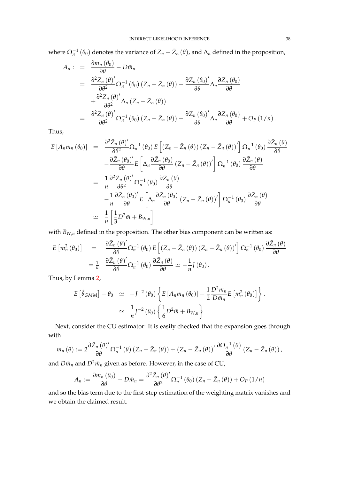where  $\Omega_n^{-1}(\theta_0)$  denotes the variance of  $Z_n - \bar{Z}_n(\theta)$ , and  $\Delta_n$  defined in the proposition,

$$
A_n: = \frac{\partial m_n(\theta_0)}{\partial \theta} - D \bar{m}_n
$$
  
= 
$$
\frac{\partial^2 \bar{Z}_n(\theta)'}{\partial \theta^2} \Omega_n^{-1}(\theta_0) (Z_n - \bar{Z}_n(\theta)) - \frac{\partial \bar{Z}_n(\theta_0)'}{\partial \theta} \Delta_n \frac{\partial \bar{Z}_n(\theta_0)}{\partial \theta}
$$
  
+ 
$$
\frac{\partial^2 \bar{Z}_n(\theta)'}{\partial \theta^2} \Delta_n (Z_n - \bar{Z}_n(\theta))
$$
  
= 
$$
\frac{\partial^2 \bar{Z}_n(\theta)'}{\partial \theta^2} \Omega_n^{-1}(\theta_0) (Z_n - \bar{Z}_n(\theta)) - \frac{\partial \bar{Z}_n(\theta_0)'}{\partial \theta} \Delta_n \frac{\partial \bar{Z}_n(\theta_0)}{\partial \theta} + O_P(1/n).
$$

Thus,

$$
E\left[A_n m_n\left(\theta_0\right)\right] = \frac{\partial^2 \bar{Z}_n\left(\theta\right)'}{\partial \theta^2} \Omega_n^{-1}\left(\theta_0\right) E\left[\left(Z_n - \bar{Z}_n\left(\theta\right)\right) \left(Z_n - \bar{Z}_n\left(\theta\right)\right)'\right] \Omega_n^{-1}\left(\theta_0\right) \frac{\partial \bar{Z}_n\left(\theta\right)}{\partial \theta}
$$

$$
- \frac{\partial \bar{Z}_n\left(\theta_0\right)'}{\partial \theta} E\left[\Delta_n \frac{\partial \bar{Z}_n\left(\theta_0\right)}{\partial \theta} \left(Z_n - \bar{Z}_n\left(\theta\right)\right)'\right] \Omega_n^{-1}\left(\theta_0\right) \frac{\partial \bar{Z}_n\left(\theta\right)}{\partial \theta}
$$

$$
= \frac{1}{n} \frac{\partial^2 \bar{Z}_n\left(\theta\right)'}{\partial \theta^2} \Omega_n^{-1}\left(\theta_0\right) \frac{\partial \bar{Z}_n\left(\theta\right)}{\partial \theta}
$$

$$
- \frac{1}{n} \frac{\partial \bar{Z}_n\left(\theta_0\right)'}{\partial \theta} E\left[\Delta_n \frac{\partial \bar{Z}_n\left(\theta_0\right)}{\partial \theta} \left(Z_n - \bar{Z}_n\left(\theta\right)\right)'\right] \Omega_n^{-1}\left(\theta_0\right) \frac{\partial \bar{Z}_n\left(\theta\right)}{\partial \theta}
$$

$$
\approx \frac{1}{n} \left[\frac{1}{3} D^2 \bar{m} + B_{W,n}\right]
$$

with  $B_{W,n}$  defined in the proposition. The other bias component can be written as:

$$
E\left[m_n^2\left(\theta_0\right)\right] = \frac{\partial \bar{Z}_n\left(\theta\right)'}{\partial \theta} \Omega_n^{-1}\left(\theta_0\right) E\left[\left(Z_n - \bar{Z}_n\left(\theta\right)\right) \left(Z_n - \bar{Z}_n\left(\theta\right)\right)'\right] \Omega_n^{-1}\left(\theta_0\right) \frac{\partial \bar{Z}_n\left(\theta\right)}{\partial \theta} = \frac{1}{n} \frac{\partial \bar{Z}_n\left(\theta\right)'}{\partial \theta} \Omega_n^{-1}\left(\theta_0\right) \frac{\partial \bar{Z}_n\left(\theta\right)}{\partial \theta} \simeq -\frac{1}{n} J\left(\theta_0\right).
$$

Thus, by Lemma [2,](#page-43-0)

$$
E\left[\hat{\theta}_{GMM}\right] - \theta_0 \simeq -J^{-2}(\theta_0) \left\{ E\left[A_n m_n(\theta_0)\right] - \frac{1}{2} \frac{D^2 \bar{m}_n}{D \bar{m}_n} E\left[m_n^2(\theta_0)\right] \right\}.
$$
  

$$
\simeq \frac{1}{n} J^{-2}(\theta_0) \left\{ \frac{1}{6} D^2 \bar{m} + B_{W,n} \right\}
$$

Next, consider the CU estimator: It is easily checked that the expansion goes through with

$$
m_n(\theta) := 2 \frac{\partial \overline{Z}_n(\theta)'}{\partial \theta} \Omega_n^{-1}(\theta) \left( Z_n - \overline{Z}_n(\theta) \right) + \left( Z_n - \overline{Z}_n(\theta) \right)' \frac{\partial \Omega_n^{-1}(\theta)}{\partial \theta} \left( Z_n - \overline{Z}_n(\theta) \right),
$$

and  $D\bar{m}_n$  and  $D^2\bar{m}_n$  given as before. However, in the case of CU,

$$
A_n := \frac{\partial m_n(\theta_0)}{\partial \theta} - D\bar{m}_n = \frac{\partial^2 \bar{Z}_n(\theta)'}{\partial \theta^2} \Omega_n^{-1}(\theta_0) (Z_n - \bar{Z}_n(\theta)) + O_P(1/n)
$$

and so the bias term due to the first-step estimation of the weighting matrix vanishes and we obtain the claimed result.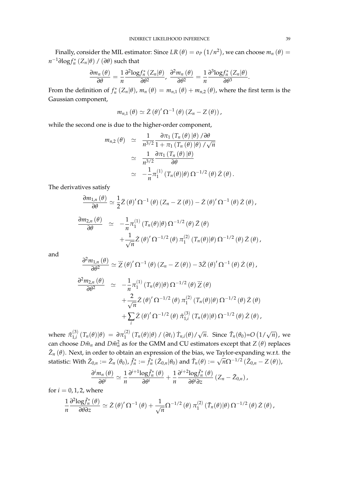Finally, consider the MIL estimator: Since  $LR$   $(\theta) = o_P$   $\left(1/n^2\right)$ , we can choose  $m_n$   $(\theta) =$  $n^{-1}$ ∂log $f_n^*\left(Z_n|\theta\right)$  / (∂ $\theta$ ) such that

$$
\frac{\partial m_n(\theta)}{\partial \theta} = \frac{1}{n} \frac{\partial^2 \log f_n^*(Z_n|\theta)}{\partial \theta^2}, \frac{\partial^2 m_n(\theta)}{\partial \theta^2} = \frac{1}{n} \frac{\partial^3 \log f_n^*(Z_n|\theta)}{\partial \theta^3}.
$$

From the definition of  $f_n^*(Z_n|\theta)$ ,  $m_n(\theta) = m_{n,1}(\theta) + m_{n,2}(\theta)$ , where the first term is the Gaussian component,

$$
m_{n,1}(\theta) \simeq \dot{Z}(\theta)'\,\Omega^{-1}(\theta)\left(Z_n - Z(\theta)\right),\,
$$

while the second one is due to the higher-order component,

$$
m_{n,2}(\theta) \simeq \frac{1}{n^{3/2}} \frac{\partial \pi_1(T_n(\theta) | \theta) / \partial \theta}{1 + \pi_1(T_n(\theta) | \theta) / \sqrt{n}} \simeq \frac{1}{n^{3/2}} \frac{\partial \pi_1(T_n(\theta) | \theta)}{\partial \theta} \simeq -\frac{1}{n} \pi_1^{(1)} (T_n(\theta) | \theta) \Omega^{-1/2}(\theta) \dot{Z}(\theta).
$$

The derivatives satisfy

$$
\frac{\partial m_{1,n}(\theta)}{\partial \theta} \simeq \frac{1}{2} \ddot{Z}(\theta)' \Omega^{-1}(\theta) (Z_n - Z(\theta)) - \dot{Z}(\theta)' \Omega^{-1}(\theta) \dot{Z}(\theta),
$$
  

$$
\frac{\partial m_{2,n}(\theta)}{\partial \theta} \simeq -\frac{1}{n} \pi_1^{(1)} (T_n(\theta) | \theta) \Omega^{-1/2}(\theta) \ddot{Z}(\theta)
$$
  

$$
+ \frac{1}{\sqrt{n}} \dot{Z}(\theta)' \Omega^{-1/2}(\theta) \pi_1^{(2)} (T_n(\theta) | \theta) \Omega^{-1/2}(\theta) \dot{Z}(\theta),
$$

and

$$
\frac{\partial^2 m_{1,n}(\theta)}{\partial \theta^2} \simeq \ddot{Z}(\theta)' \Omega^{-1}(\theta) (Z_n - Z(\theta)) - 3\ddot{Z}(\theta)' \Omega^{-1}(\theta) \dot{Z}(\theta),
$$
  

$$
\frac{\partial^2 m_{2,n}(\theta)}{\partial \theta^2} \simeq -\frac{1}{n} \pi_1^{(1)} (T_n(\theta)|\theta) \Omega^{-1/2}(\theta) \ddot{Z}(\theta)
$$
  

$$
+\frac{2}{\sqrt{n}} \dot{Z}(\theta)' \Omega^{-1/2}(\theta) \pi_1^{(2)} (T_n(\theta)|\theta) \Omega^{-1/2}(\theta) \dot{Z}(\theta)
$$
  

$$
+\sum_i \dot{Z}(\theta)' \Omega^{-1/2}(\theta) \pi_{1,i}^{(3)} (T_n(\theta)|\theta) \Omega^{-1/2}(\theta) \dot{Z}(\theta),
$$

where  $\tilde{\pi}_{1,i}^{(3)}$  $\int_{1,i}^{(3)} (T_n(\theta)|\theta) = \partial \pi_1^{(2)} (T_n(\theta)|\theta) / (\partial t_i) T_{n,i}(\theta)$  $\sqrt{n}$ . Since  $\bar{T}_n(\theta_0) = O(1/\sqrt{n})$ , we can choose  $Dm_n$  and  $Dm_n^2$  as for the GMM and CU estimators except that  $Z(\theta)$  replaces  $\bar{Z}_n (\theta)$ . Next, in order to obtain an expression of the bias, we Taylor-expanding w.r.t. the statistic: With  $\bar{Z}_{0,n} := \bar{Z}_n (\theta_0)$ ,  $\bar{f}_n^* := \bar{f}_n^* (\bar{Z}_{0,n} | \theta_0)$  and  $\bar{T}_n(\theta) :=$  $\sqrt{n}$ Ω<sup>-1/2</sup> ( $\bar{Z}_{0,n}$  − *Z* (θ)),

$$
\frac{\partial^i m_n(\theta)}{\partial \theta^i} \simeq \frac{1}{n} \frac{\partial^{i+1} \log \bar{f}_n^*(\theta)}{\partial \theta^i} + \frac{1}{n} \frac{\partial^{i+2} \log \bar{f}_n^*(\theta)}{\partial \theta^i \partial z} (Z_n - \bar{Z}_{0,n}),
$$

for  $i = 0, 1, 2$ , where

$$
\frac{1}{n} \frac{\partial^2 \text{log} \bar{f}_n^*(\theta)}{\partial \theta \partial z} \simeq \dot{Z}(\theta)' \Omega^{-1}(\theta) + \frac{1}{\sqrt{n}} \Omega^{-1/2}(\theta) \pi_1^{(2)}(\bar{T}_n(\theta) | \theta) \Omega^{-1/2}(\theta) \dot{Z}(\theta),
$$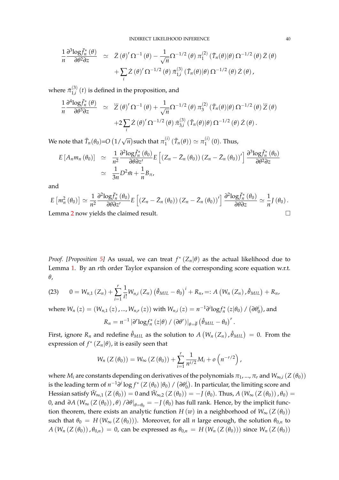$$
\frac{1}{n} \frac{\partial^3 \log \bar{f}_n^* (\theta)}{\partial \theta^2 \partial z} \simeq \ddot{Z} (\theta)' \Omega^{-1} (\theta) - \frac{1}{\sqrt{n}} \Omega^{-1/2} (\theta) \pi_1^{(2)} (\bar{T}_n(\theta) | \theta) \Omega^{-1/2} (\theta) \ddot{Z} (\theta) \n+ \sum_i \dot{Z} (\theta)' \Omega^{-1/2} (\theta) \pi_{1,i}^{(3)} (\bar{T}_n(\theta) | \theta) \Omega^{-1/2} (\theta) \dot{Z} (\theta),
$$

where  $\bar{\pi}_{1.i}^{(3)}$  $\int_{1,i}^{(5)}(t)$  is defined in the proposition, and

$$
\frac{1}{n} \frac{\partial^4 \log \bar{f}_n^*(\theta)}{\partial \theta^3 \partial z} \simeq \ddot{Z}(\theta)' \Omega^{-1}(\theta) + \frac{1}{\sqrt{n}} \Omega^{-1/2}(\theta) \pi_3^{(2)}(\bar{T}_n(\theta) | \theta) \Omega^{-1/2}(\theta) \ddot{Z}(\theta) \n+ 2 \sum_i \dot{Z}(\theta)' \Omega^{-1/2}(\theta) \pi_{3,i}^{(3)}(\bar{T}_n(\theta) | \theta) \Omega^{-1/2}(\theta) \dot{Z}(\theta).
$$

We note that  $\bar{T}_n(\theta_0)$ =O  $(1/\sqrt{n})$ such that  $\pi_1^{(i)}$  $\pi_1^{(i)}(\bar{T}_n(\theta)) \simeq \pi_1^{(i)}$  $1^{(1)}(0)$ . Thus,

$$
E\left[A_n m_n\left(\theta_0\right)\right] \simeq \frac{1}{n^2} \frac{\partial^2 \log \bar{f}_n^*\left(\theta_0\right)}{\partial \theta \partial z'} E\left[\left(Z_n - \bar{Z}_n\left(\theta_0\right)\right)\left(Z_n - \bar{Z}_n\left(\theta_0\right)\right)'\right] \frac{\partial^3 \log \bar{f}_n^*\left(\theta_0\right)}{\partial \theta^2 \partial z} \simeq \frac{1}{3n} D^2 \bar{m} + \frac{1}{n} B_\pi,
$$

and

$$
E\left[m_n^2\left(\theta_0\right)\right] \simeq \frac{1}{n^2} \frac{\partial^2 \log \bar{f}_n^*\left(\theta_0\right)}{\partial \theta \partial z'} E\left[\left(Z_n - \bar{Z}_n\left(\theta_0\right)\right) \left(Z_n - \bar{Z}_n\left(\theta_0\right)\right)'\right] \frac{\partial^2 \log \bar{f}_n^*\left(\theta_0\right)}{\partial \theta \partial z} \simeq \frac{1}{n} J\left(\theta_0\right).
$$
  
Lemma 2 now yields the claimed result.

*Proof.* [*Proposition* [5\]](#page-17-0) As usual, we can treat  $f^*(Z_n|\theta)$  as the actual likelihood due to Lemma [1.](#page-12-0) By an *r*th order Taylor expansion of the corresponding score equation w.r.t. *θ*,

(23) 
$$
0 = W_{n,1}(Z_n) + \sum_{i=1}^r \frac{1}{i!} W_{n,i}(Z_n) (\hat{\theta}_{MIL} - \theta_0)^i + R_n =: A (W_n (Z_n), \hat{\theta}_{MIL}) + R_n,
$$

where  $W_n(z) = (W_{n,1}(z), ..., W_{n,r}(z))$  with  $W_{n,i}(z) = n^{-1}\partial^i \log f_n^*(z|\theta_0) / (\partial \theta_0^i)$ , and  $R_n = n^{-1} \left| \frac{\partial^r \log f_n^*(z|\theta) / (\partial \theta^r) \right|_{\theta=\overline{\theta}} (\hat{\theta}_{MIL} - \theta_0)^r$ .

First, ignore  $R_n$  and redefine  $\hat{\theta}_{MIL}$  as the solution to  $A\left(W_n\left(Z_n\right), \hat{\theta}_{MIL}\right)\,=\,0.$  From the expression of  $f^*(Z_n|\theta)$ , it is easily seen that

$$
W_n (Z (\theta_0)) = W_\infty (Z (\theta_0)) + \sum_{i=1}^r \frac{1}{n^{i/2}} M_i + o\left(n^{-r/2}\right),
$$

where  $M_i$  are constants depending on derivatives of the polynomials  $\pi_1, ..., \pi_r$  and  $W_{\infty,i}(Z(\theta_0))$ is the leading term of  $n^{-1}\partial^i\log f^*\left(Z\left(\theta_0\right)|\theta_0\right)/\left(\partial\theta_0^i\right)$ . In particular, the limiting score and Hessian satisfy  $\bar{W}_{\infty,1} (Z(\theta_0)) = 0$  and  $\bar{W}_{\infty,2} (Z(\theta_0)) = -J(\theta_0)$ . Thus,  $A(W_{\infty} (Z(\theta_0)), \theta_0) =$  $0$ , and  $\partial A$  ( $W_{\infty}$  (*Z* ( $\theta_0$ )),  $\theta$ ) / $\partial \theta|_{\theta=\theta_0}$  = −*J* ( $\theta_0$ ) has full rank. Hence, by the implicit function theorem, there exists an analytic function *H* (*w*) in a neighborhood of  $W_{\infty}(Z(\theta_0))$ such that  $\theta_0 = H(W_\infty(Z(\theta_0)))$ . Moreover, for all *n* large enough, the solution  $\theta_{0,n}$  to  $A(W_n(Z(\theta_0)), \theta_{0,n}) = 0$ , can be expressed as  $\theta_{0,n} = H(W_n(Z(\theta_0)))$  since  $W_n(Z(\theta_0))$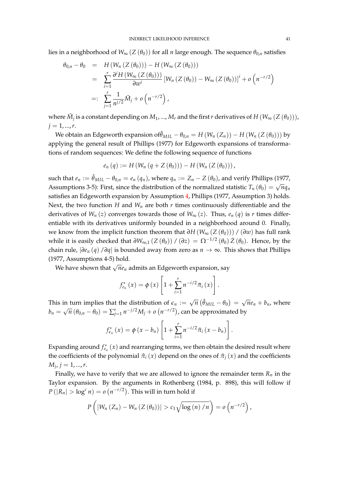lies in a neighborhood of  $W_{\infty}$  (*Z* ( $\theta$ <sub>0</sub>)) for all *n* large enough. The sequence  $\theta$ <sub>0,*n*</sub> satisfies

$$
\begin{array}{rcl}\n\theta_{0,n} - \theta_0 & = & H\left(W_n\left(Z\left(\theta_0\right)\right)\right) - H\left(W_\infty\left(Z\left(\theta_0\right)\right)\right) \\
& = & \sum_{i=1}^r \frac{\partial^i H\left(W_\infty\left(Z\left(\theta_0\right)\right)\right)}{\partial w^i} \left[W_n\left(Z\left(\theta_0\right)\right) - W_\infty\left(Z\left(\theta_0\right)\right)\right]^i + o\left(n^{-r/2}\right) \\
& = & \sum_{j=1}^r \frac{1}{n^{j/2}} \tilde{M}_j + o\left(n^{-r/2}\right),\n\end{array}
$$

where  $\tilde{M}_j$  is a constant depending on  $M_1$ , ...,  $M_r$  and the first  $r$  derivatives of  $H$   $(W_\infty (Z(\theta_0)))$ ,  $j = 1, ..., r$ .

We obtain an Edgeworth expansion of  $\hat{\theta}_{MIL} - \theta_{0,n} = H(W_n(Z_n)) - H(W_n(Z(\theta_0)))$  by applying the general result of Phillips (1977) for Edgeworth expansions of transformations of random sequences: We define the following sequence of functions

$$
e_n (q) := H (W_n (q + Z (\theta_0))) - H (W_n (Z (\theta_0))) ,
$$

such that  $e_n := \hat{\theta}_{MIL} - \theta_{0,n} = e_n(q_n)$ , where  $q_n := Z_n - Z(\theta_0)$ , and verify Phillips (1977, Assumptions 3-5): First, since the distribution of the normalized statistic  $T_n(\theta_0) = \sqrt{n}q_n$ satisfies an Edgeworth expansion by Assumption [4,](#page-11-0) Phillips (1977, Assumption 3) holds. Next, the two function *H* and *W<sup>n</sup>* are both *r* times continuously differentiable and the derivatives of  $W_n(z)$  converges towards those of  $W_\infty(z)$ . Thus,  $e_n(q)$  is *r* times differentiable with its derivatives uniformly bounded in a neighborhood around 0. Finally, we know from the implicit function theorem that *∂H* (*W*<sup>∞</sup> (*Z* (*θ*0))) / (*∂w*) has full rank while it is easily checked that  $\partial W_{\infty,1} (Z(\theta_0)) / (\partial z) = \Omega^{-1/2} (\theta_0) \dot{Z} (\theta_0)$ . Hence, by the chain rule,  $|\partial e_n(q)/\partial q|$  is bounded away from zero as  $n \to \infty$ . This shows that Phillips (1977, Assumptions 4-5) hold.

We have shown that <sup>√</sup> *ne<sup>n</sup>* admits an Edgeworth expansion, say

$$
f_{e_n}^{*}(x) = \phi(x) \left[ 1 + \sum_{i=1}^{r} n^{-i/2} \bar{\pi}_i(x) \right].
$$

This in turn implies that the distribution of  $\epsilon_n :=$ √  $\overline{n}$   $(\hat{\theta}_{MIL} - \theta_0) =$ √  $\overline{n}e_n + b_n$ , where  $b_n =$ √  $\overline{n}$   $(\theta_{0,n} - \theta_0) = \sum_{j=1}^r n^{-j/2} M_j + o\left(n^{-r/2}\right)$ , can be approximated by

$$
f_{\epsilon_n}^*(x) = \phi(x - b_n) \left[ 1 + \sum_{i=1}^r n^{-i/2} \bar{\pi}_i (x - b_n) \right].
$$

Expanding around  $f_{e_n}^*(x)$  and rearranging terms, we then obtain the desired result where the coefficients of the polynomial  $\tilde{\pi}_i(x)$  depend on the ones of  $\bar{\pi}_i(x)$  and the coefficients  $M_j$ ,  $j = 1, ..., r$ .

Finally, we have to verify that we are allowed to ignore the remainder term  $R_n$  in the Taylor expansion. By the arguments in Rothenberg (1984, p. 898), this will follow if  $P\left(|R_n| > \log^c n\right) = o\left(n^{-r/2}\right)$ . This will in turn hold if

$$
P\left(\left|W_n\left(Z_n\right)-W_n\left(Z\left(\theta_0\right)\right)\right|>c_1\sqrt{\log\left(n\right)/n}\right)=o\left(n^{-r/2}\right),
$$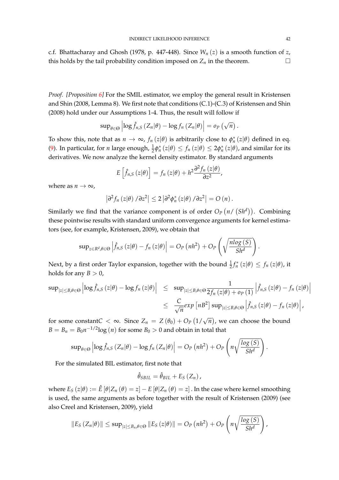c.f. Bhattacharay and Ghosh (1978, p. 447-448). Since *W<sup>n</sup>* (*z*) is a smooth function of *z*, this holds by the tail probability condition imposed on  $Z_n$  in the theorem.

*Proof. [Proposition [6\]](#page-18-1)* For the SMIL estimator, we employ the general result in Kristensen and Shin (2008, Lemma 8). We first note that conditions (C.1)-(C.3) of Kristensen and Shin (2008) hold under our Assumptions 1-4. Thus, the result will follow if

$$
\sup_{\theta \in \Theta} \left| \log \hat{f}_{n,S} \left( Z_n | \theta \right) - \log f_n \left( Z_n | \theta \right) \right| = o_P \left( \sqrt{n} \right).
$$

To show this, note that as  $n \to \infty$ ,  $f_n(z|\theta)$  is arbitrarily close to  $\phi_n^*(z|\theta)$  defined in eq. [\(9\)](#page-11-2). In particular, for *n* large enough,  $\frac{1}{2}\phi_n^*(z|\theta) \le f_n(z|\theta) \le 2\phi_n^*(z|\theta)$ , and similar for its derivatives. We now analyze the kernel density estimator. By standard arguments

$$
E\left[\hat{f}_{n,S}\left(z|\theta\right)\right] = f_n\left(z|\theta\right) + h^2 \frac{\partial^2 f_n\left(z|\theta\right)}{\partial z^2},
$$

where as  $n \to \infty$ ,

$$
\left|\partial^2 f_n(z|\theta)/\partial z^2\right| \leq 2\left|\partial^2 \phi_n^*(z|\theta)/\partial z^2\right| = O(n).
$$

Similarly we find that the variance component is of order  $O_P(n/\left(S h^d\right))$ . Combining these pointwise results with standard uniform convergence arguments for kernel estimators (see, for example, Kristensen, 2009), we obtain that

$$
\sup\nolimits_{z\in R^d,\theta\in\Theta}\left|\hat{f}_{n,S}\left(z|\theta\right)-f_n\left(z|\theta\right)\right| = O_P\left(nh^2\right) + O_P\left(\sqrt{\frac{nlog\left(S\right)}{Sh^d}}\right)
$$

Next, by a first order Taylor expansion, together with the bound  $\frac{1}{2}f_n^*(z|\theta) \le f_n(z|\theta)$ , it holds for any  $B > 0$ ,

$$
\sup_{|z| \leq B, \theta \in \Theta} \left| \log \hat{f}_{n,S} \left( z | \theta \right) - \log f_n \left( z | \theta \right) \right| \leq \sup_{|z| \leq B, \theta \in \Theta} \frac{1}{2f_n \left( z | \theta \right) + o_P \left( 1 \right)} \left| \hat{f}_{n,S} \left( z | \theta \right) - f_n \left( z | \theta \right) \right|
$$
  

$$
\leq \frac{C}{\sqrt{n}} exp \left[ n B^2 \right] sup_{|z| \leq B, \theta \in \Theta} \left| \hat{f}_{n,S} \left( z | \theta \right) - f_n \left( z | \theta \right) \right|,
$$

for some constant $C < \infty$ . Since  $Z_n = Z(\theta_0) + O_P(1/\sqrt{n})$ , we can choose the bound  $B = B_n = B_0 n^{-1/2} \log(n)$  for some  $B_0 > 0$  and obtain in total that

$$
\sup_{\theta \in \Theta} \left| \log \hat{f}_{n,S} \left( Z_n | \theta \right) - \log f_n \left( Z_n | \theta \right) \right| = O_P \left( n h^2 \right) + O_P \left( n \sqrt{\frac{\log (S)}{Sh^d}} \right).
$$

For the simulated BIL estimator, first note that

$$
\hat{\theta}_{SBL} = \hat{\theta}_{BIL} + E_S(Z_n),
$$

where  $E_S(z|\theta) := \hat{E}[\theta|Z_n(\theta) = z] - E[\theta|Z_n(\theta) = z]$ . In the case where kernel smoothing is used, the same arguments as before together with the result of Kristensen (2009) (see also Creel and Kristensen, 2009), yield

$$
||E_S (Z_n | \theta) || \le \sup_{|z| \le B_n, \theta \in \Theta} ||E_S (z | \theta) || = O_P (n h^2) + O_P \left( n \sqrt{\frac{\log (S)}{Sh^d}} \right),
$$

.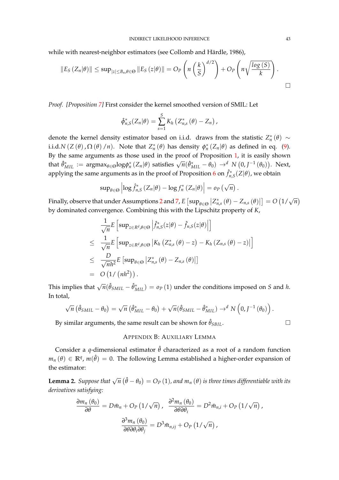while with nearest-neighbor estimators (see Collomb and Härdle, 1986),

$$
||E_S (Z_n | \theta) || \le \sup_{|z| \le B_n, \theta \in \Theta} ||E_S (z | \theta) || = O_P \left( n \left( \frac{k}{S} \right)^{d/2} \right) + O_P \left( n \sqrt{\frac{\log(S)}{k}} \right).
$$

*Proof. [Proposition [7\]](#page-18-3)* First consider the kernel smoothed version of SMIL: Let

$$
\hat{\phi}_{n,S}^*(Z_n|\theta) = \sum_{s=1}^S K_h(Z_{n,s}^*(\theta) - Z_n),
$$

denote the kernel density estimator based on i.i.d. draws from the statistic  $Z_n^*(\theta) \sim$ i.i.d.*N* (*Z* ( $\theta$ ),  $\Omega$  ( $\theta$ ) /*n*). Note that  $Z_n^*(\theta)$  has density  $\phi_n^*(Z_n|\theta)$  as defined in eq. [\(9\)](#page-11-2). By the same arguments as those used in the proof of Proposition [1,](#page-13-0) it is easily shown  $\hat{\theta}_{MIL}^* := \text{argmax}_{\theta \in \Theta} \log \phi_n^* (Z_n | \theta) \text{ satisfies } \sqrt{n}(\hat{\theta}_{MIL}^* - \theta_0) \rightarrow^d N(0, J^{-1}(\theta_0)). \text{ Next,}$ applying the same arguments as in the proof of Proposition [6](#page-18-1) on  $\hat{f}^*_{n, S}(Z|\theta)$ , we obtain

$$
\sup_{\theta \in \Theta} \left| \log \hat{f}_{n,S}^{*}\left(Z_{n}|\theta\right) - \log f_{n}^{*}\left(Z_{n}|\theta\right) \right| = o_{P}\left(\sqrt{n}\right).
$$

Finally, observe that under Assumptions [2](#page-10-1) and [7,](#page-18-2) *E*  $\left[\sup_{\theta \in \Theta} |Z^*_{n,s}(\theta) - Z_{n,s}(\theta)|\right] = O(1/\sqrt{n})$ by dominated convergence. Combining this with the Lipschitz property of *K*,

$$
\frac{1}{\sqrt{n}} E\left[\sup_{z \in R^d, \theta \in \Theta} \left| \hat{f}_{n,S}^*(z|\theta) - \hat{f}_{n,S}(z|\theta) \right| \right]
$$
\n
$$
\leq \frac{1}{\sqrt{n}} E\left[\sup_{z \in R^d, \theta \in \Theta} \left| K_h \left( Z_{n,S}^*(\theta) - z \right) - K_h \left( Z_{n,S}(\theta) - z \right) \right| \right]
$$
\n
$$
\leq \frac{D}{\sqrt{n}h^2} E\left[\sup_{\theta \in \Theta} \left| Z_{n,S}^*(\theta) - Z_{n,S}(\theta) \right| \right]
$$
\n
$$
= O\left(1/ \left(nh^2\right)\right).
$$

This implies that  $\sqrt{n}(\hat{\theta}_{SMIL} - \hat{\theta}_{MIL}^*) = o_P(1)$  under the conditions imposed on *S* and *h*. In total,

$$
\sqrt{n} \left( \hat{\theta}_{SMIL} - \theta_0 \right) = \sqrt{n} \left( \hat{\theta}_{MIL}^* - \theta_0 \right) + \sqrt{n} \left( \hat{\theta}_{SMIL} - \hat{\theta}_{MIL}^* \right) \rightarrow^d N \left( 0, J^{-1} \left( \theta_0 \right) \right).
$$

By similar arguments, the same result can be shown for  $\hat{\theta}_{SBL}$ .

## APPENDIX B: AUXILIARY LEMMA

Consider a *q*-dimensional estimator  $\hat{\theta}$  characterized as a root of a random function  $m_n(\theta) \in \mathbb{R}^q$ ,  $m(\hat{\theta}) = 0$ . The following Lemma established a higher-order expansion of the estimator:

<span id="page-43-0"></span>**Lemma 2.** Suppose that  $\sqrt{n}$   $(\hat{\theta} - \theta_0) = O_P(1)$ , and  $m_n(\theta)$  is three times differentiable with its *derivatives satisfying:*

$$
\frac{\partial m_n(\theta_0)}{\partial \theta} = D\bar{m}_n + O_P(1/\sqrt{n}), \quad \frac{\partial^2 m_n(\theta_0)}{\partial \theta \partial \theta_i} = D^2 \bar{m}_{n,i} + O_P(1/\sqrt{n}),
$$

$$
\frac{\partial^3 m_n(\theta_0)}{\partial \theta \partial \theta_i \partial \theta_j} = D^3 \bar{m}_{n,ij} + O_P(1/\sqrt{n}),
$$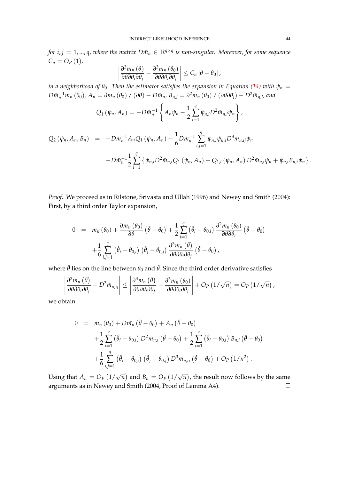*for i, j* = 1, ..., *q*, where the matrix  $D\bar{m}_n \in \mathbb{R}^{q \times q}$  is non-singular. Moreover, for some sequence  $C_n = O_p(1)$ ,

$$
\left|\frac{\partial^3 m_n(\theta)}{\partial \theta \partial \theta_i \partial \theta_j} - \frac{\partial^3 m_n(\theta_0)}{\partial \theta \partial \theta_i \partial \theta_j}\right| \leq C_n |\theta - \theta_0|,
$$

*in a neighborhood of*  $\theta_0$ . *Then the estimator satisfies the expansion in Equation [\(14\)](#page-15-0)* with  $\psi_n =$  $Dm_n^{-1}m_n(\theta_0)$ ,  $A_n = \partial m_n(\theta_0) / (\partial \theta) - Dm_n$ ,  $B_{n,i} = \partial^2 m_n(\theta_0) / (\partial \theta \partial \theta_i) - D^2m_{n,i}$ , and

$$
Q_1(\psi_n, A_n) = -D\bar{m}_n^{-1} \left\{ A_n \psi_n - \frac{1}{2} \sum_{i=1}^q \psi_{n,i} D^2 \bar{m}_{n,i} \psi_n \right\},\,
$$

$$
Q_{2} (\psi_{n}, A_{n}, B_{n}) = -D \bar{m}_{n}^{-1} A_{n} Q_{1} (\psi_{n}, A_{n}) - \frac{1}{6} D \bar{m}_{n}^{-1} \sum_{i,j=1}^{q} \psi_{n,i} \psi_{n,j} D^{3} \bar{m}_{n,ij} \psi_{n}
$$

$$
-D \bar{m}_{n}^{-1} \frac{1}{2} \sum_{i=1}^{q} \{ \psi_{n,i} D^{2} \bar{m}_{n,i} Q_{1} (\psi_{n}, A_{n}) + Q_{1,i} (\psi_{n}, A_{n}) D^{2} \bar{m}_{n,i} \psi_{n} + \psi_{n,i} B_{n,i} \psi_{n} \}.
$$

*Proof.* We proceed as in Rilstone, Srivasta and Ullah (1996) and Newey and Smith (2004): First, by a third order Taylor expansion,

$$
0 = m_n(\theta_0) + \frac{\partial m_n(\theta_0)}{\partial \theta} (\hat{\theta} - \theta_0) + \frac{1}{2} \sum_{i=1}^q (\hat{\theta}_i - \theta_{0,i}) \frac{\partial^2 m_n(\theta_0)}{\partial \theta \partial \theta_i} (\hat{\theta} - \theta_0)
$$

$$
+ \frac{1}{6} \sum_{i,j=1}^q (\hat{\theta}_i - \theta_{0,i}) (\hat{\theta}_j - \theta_{0,j}) \frac{\partial^3 m_n(\bar{\theta})}{\partial \theta \partial \theta_i \partial \theta_j} (\hat{\theta} - \theta_0),
$$

where  $\bar{\theta}$  lies on the line between  $\theta_0$  and  $\hat{\theta}$ . Since the third order derivative satisfies

$$
\left|\frac{\partial^3 m_n(\bar{\theta})}{\partial \theta \partial \theta_i \partial \theta_j} - D^3 \bar{m}_{n,ij}\right| \leq \left|\frac{\partial^3 m_n(\bar{\theta})}{\partial \theta \partial \theta_i \partial \theta_j} - \frac{\partial^3 m_n(\theta_0)}{\partial \theta \partial \theta_i \partial \theta_j}\right| + O_P\left(1/\sqrt{n}\right) = O_P\left(1/\sqrt{n}\right),
$$

we obtain

$$
0 = m_n (\theta_0) + Dm_n (\hat{\theta} - \theta_0) + A_n (\hat{\theta} - \theta_0)
$$
  
+  $\frac{1}{2} \sum_{i=1}^q (\hat{\theta}_i - \theta_{0,i}) D^2 \bar{m}_{n,i} (\hat{\theta} - \theta_0) + \frac{1}{2} \sum_{i=1}^q (\hat{\theta}_i - \theta_{0,i}) B_{n,i} (\hat{\theta} - \theta_0)$   
+  $\frac{1}{6} \sum_{i,j=1}^q (\hat{\theta}_i - \theta_{0,i}) (\hat{\theta}_j - \theta_{0,j}) D^3 \bar{m}_{n,ij} (\hat{\theta} - \theta_0) + O_P (1/n^2).$ 

Using that  $A_n = O_P(1/\sqrt{n})$  and  $B_n = O_P(1/\sqrt{n})$ , the result now follows by the same arguments as in Newey and Smith (2004, Proof of Lemma A4).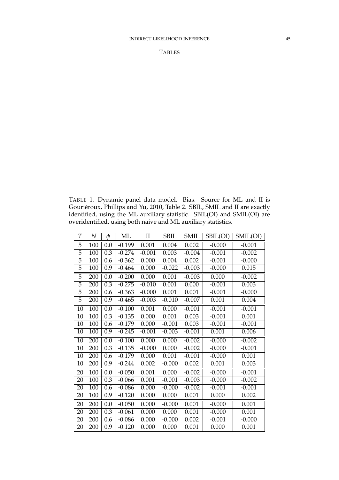TABLES

<span id="page-45-0"></span>TABLE 1. Dynamic panel data model. Bias. Source for ML and II is Gouriéroux, Phillips and Yu, 2010, Table 2. SBIL, SMIL and II are exactly identified, using the ML auxiliary statistic. SBIL(OI) and SMIL(OI) are overidentified, using both naive and ML auxiliary statistics.

| T  | N          | $\phi$           | ML       | $\rm II$ | <b>SBIL</b>        | <b>SMIL</b> | SBIL(OI) | SMIL(OI) |
|----|------------|------------------|----------|----------|--------------------|-------------|----------|----------|
| 5  | 100        | 0.0              | $-0.199$ | 0.001    | 0.004              | 0.002       | $-0.000$ | $-0.001$ |
| 5  | 100        | 0.3              | $-0.274$ | $-0.001$ | 0.003              | $-0.004$    | $-0.001$ | $-0.002$ |
| 5  | 100        | 0.6              | $-0.362$ | 0.000    | 0.004              | 0.002       | $-0.001$ | $-0.000$ |
| 5  | 100        | 0.9              | $-0.464$ | 0.000    | $-0.022$           | $-0.003$    | $-0.000$ | 0.015    |
| 5  | 200        | 0.0              | $-0.200$ | 0.000    | 0.001              | $-0.003$    | 0.000    | $-0.002$ |
| 5  | 200        | $\overline{0.3}$ | $-0.275$ | $-0.010$ | $\overline{0.0}01$ | 0.000       | $-0.001$ | 0.003    |
| 5  | 200        | 0.6              | $-0.363$ | $-0.000$ | 0.001              | 0.001       | $-0.001$ | $-0.000$ |
| 5  | 200        | 0.9              | $-0.465$ | $-0.003$ | $-0.010$           | $-0.007$    | 0.001    | 0.004    |
| 10 | 100        | 0.0              | $-0.100$ | 0.001    | 0.000              | $-0.001$    | $-0.001$ | $-0.001$ |
| 10 | 100        | 0.3              | $-0.135$ | 0.000    | 0.001              | 0.003       | $-0.001$ | 0.001    |
| 10 | 100        | 0.6              | $-0.179$ | 0.000    | $-0.001$           | 0.003       | $-0.001$ | $-0.001$ |
| 10 | 100        | 0.9              | $-0.245$ | $-0.001$ | $-0.003$           | $-0.001$    | 0.001    | 0.006    |
| 10 | 200        | 0.0              | $-0.100$ | 0.000    | 0.000              | $-0.002$    | $-0.000$ | $-0.002$ |
| 10 | 200        | 0.3              | $-0.135$ | $-0.000$ | 0.000              | $-0.002$    | $-0.000$ | $-0.001$ |
| 10 | 200        | 0.6              | $-0.179$ | 0.000    | 0.001              | $-0.001$    | $-0.000$ | 0.001    |
| 10 | 200        | 0.9              | $-0.244$ | 0.002    | $-0.000$           | 0.002       | 0.001    | 0.003    |
| 20 | 100        | 0.0              | $-0.050$ | 0.001    | 0.000              | $-0.002$    | $-0.000$ | $-0.001$ |
| 20 | 100        | 0.3              | $-0.066$ | 0.001    | $-0.001$           | $-0.003$    | $-0.000$ | $-0.002$ |
| 20 | 100        | 0.6              | $-0.086$ | 0.000    | $-0.000$           | $-0.002$    | $-0.001$ | $-0.001$ |
| 20 | 100        | 0.9              | $-0.120$ | 0.000    | 0.000              | 0.001       | 0.000    | 0.002    |
| 20 | 200        | 0.0              | $-0.050$ | 0.000    | $-0.000$           | 0.001       | $-0.000$ | 0.001    |
| 20 | 200        | 0.3              | $-0.061$ | 0.000    | 0.000              | 0.001       | $-0.000$ | 0.001    |
| 20 | 200        | 0.6              | $-0.086$ | 0.000    | $-0.000$           | 0.002       | $-0.001$ | $-0.000$ |
| 20 | <b>200</b> | 0.9              | $-0.120$ | 0.000    | 0.000              | 0.001       | 0.000    | 0.001    |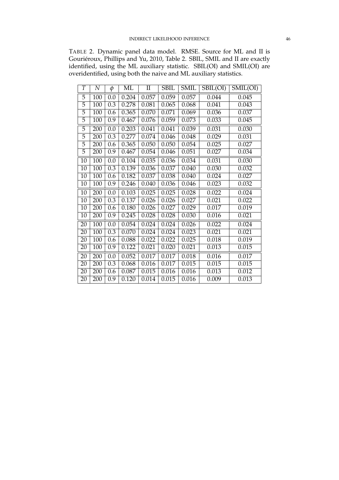<span id="page-46-0"></span>TABLE 2. Dynamic panel data model. RMSE. Source for ML and II is Gouriéroux, Phillips and Yu, 2010, Table 2. SBIL, SMIL and II are exactly identified, using the ML auxiliary statistic. SBIL(OI) and SMIL(OI) are overidentified, using both the naive and ML auxiliary statistics.

| Т  | N   | φ   | ML                 | $\mathbf{I}$ | <b>SBIL</b>        | <b>SMIL</b> | SBIL(OI) | SMIL(OI)           |
|----|-----|-----|--------------------|--------------|--------------------|-------------|----------|--------------------|
| 5  | 100 | 0.0 | 0.204              | 0.057        | 0.059              | 0.057       | 0.044    | 0.045              |
| 5  | 100 | 0.3 | 0.278              | 0.081        | 0.065              | 0.068       | 0.041    | 0.043              |
| 5  | 100 | 0.6 | 0.365              | 0.070        | 0.071              | 0.069       | 0.036    | 0.037              |
| 5  | 100 | 0.9 | 0.467              | 0.076        | 0.059              | 0.073       | 0.033    | 0.045              |
| 5  | 200 | 0.0 | 0.203              | 0.041        | 0.041              | 0.039       | 0.031    | 0.030              |
| 5  | 200 | 0.3 | 0.277              | 0.074        | 0.046              | 0.048       | 0.029    | 0.031              |
| 5  | 200 | 0.6 | 0.365              | 0.050        | 0.050              | 0.054       | 0.025    | 0.027              |
| 5  | 200 | 0.9 | 0.467              | 0.054        | 0.046              | 0.051       | 0.027    | 0.034              |
| 10 | 100 | 0.0 | $\overline{0.104}$ | 0.035        | 0.036              | 0.034       | 0.031    | 0.030              |
| 10 | 100 | 0.3 | 0.139              | 0.036        | 0.037              | 0.040       | 0.030    | 0.032              |
| 10 | 100 | 0.6 | 0.182              | 0.037        | 0.038              | 0.040       | 0.024    | 0.027              |
| 10 | 100 | 0.9 | 0.246              | 0.040        | 0.036              | 0.046       | 0.023    | 0.032              |
| 10 | 200 | 0.0 | 0.103              | 0.025        | 0.025              | 0.028       | 0.022    | $\overline{0.0}24$ |
| 10 | 200 | 0.3 | 0.137              | 0.026        | 0.026              | 0.027       | 0.021    | 0.022              |
| 10 | 200 | 0.6 | 0.180              | 0.026        | 0.027              | 0.029       | 0.017    | 0.019              |
| 10 | 200 | 0.9 | 0.245              | 0.028        | 0.028              | 0.030       | 0.016    | 0.021              |
| 20 | 100 | 0.0 | 0.054              | 0.024        | $\overline{0.024}$ | 0.026       | 0.022    | 0.024              |
| 20 | 100 | 0.3 | 0.070              | 0.024        | 0.024              | 0.023       | 0.021    | 0.021              |
| 20 | 100 | 0.6 | 0.088              | 0.022        | 0.022              | 0.025       | 0.018    | 0.019              |
| 20 | 100 | 0.9 | 0.122              | 0.021        | 0.020              | 0.021       | 0.013    | 0.015              |
| 20 | 200 | 0.0 | 0.052              | 0.017        | 0.017              | 0.018       | 0.016    | 0.017              |
| 20 | 200 | 0.3 | 0.068              | 0.016        | 0.017              | 0.015       | 0.015    | 0.015              |
| 20 | 200 | 0.6 | 0.087              | 0.015        | 0.016              | 0.016       | 0.013    | 0.012              |
| 20 | 200 | 0.9 | 0.120              | 0.014        | 0.015              | 0.016       | 0.009    | 0.013              |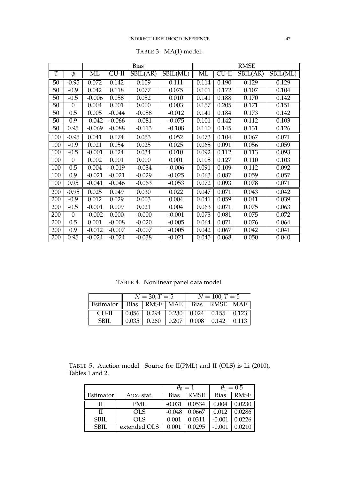<span id="page-47-0"></span>

|     |              |          | <b>Bias</b> |          |          | <b>RMSE</b> |         |          |          |
|-----|--------------|----------|-------------|----------|----------|-------------|---------|----------|----------|
| T   | ψ            | ML       | $CU-II$     | SBIL(AR) | SBIL(ML) | ML          | $CU-II$ | SBIL(AR) | SBIL(ML) |
| 50  | $-0.95$      | 0.072    | 0.142       | 0.109    | 0.111    | 0.114       | 0.190   | 0.129    | 0.129    |
| 50  | $-0.9$       | 0.042    | 0.118       | 0.077    | 0.075    | 0.101       | 0.172   | 0.107    | 0.104    |
| 50  | $-0.5$       | $-0.006$ | 0.058       | 0.052    | 0.010    | 0.141       | 0.188   | 0.170    | 0.142    |
| 50  | $\mathbf{0}$ | 0.004    | 0.001       | 0.000    | 0.003    | 0.157       | 0.205   | 0.171    | 0.151    |
| 50  | 0.5          | 0.005    | $-0.044$    | $-0.058$ | $-0.012$ | 0.141       | 0.184   | 0.173    | 0.142    |
| 50  | 0.9          | $-0.042$ | $-0.066$    | $-0.081$ | $-0.075$ | 0.101       | 0.142   | 0.112    | 0.103    |
| 50  | 0.95         | $-0.069$ | $-0.088$    | $-0.113$ | $-0.108$ | 0.110       | 0.145   | 0.131    | 0.126    |
| 100 | $-0.95$      | 0.041    | 0.074       | 0.053    | 0.052    | 0.073       | 0.104   | 0.067    | 0.071    |
| 100 | $-0.9$       | 0.021    | 0.054       | 0.025    | 0.025    | 0.065       | 0.091   | 0.056    | 0.059    |
| 100 | $-0.5$       | $-0.001$ | 0.024       | 0.034    | 0.010    | 0.092       | 0.112   | 0.113    | 0.093    |
| 100 | $\theta$     | 0.002    | 0.001       | 0.000    | 0.001    | 0.105       | 0.127   | 0.110    | 0.103    |
| 100 | 0.5          | 0.004    | $-0.019$    | $-0.034$ | $-0.006$ | 0.091       | 0.109   | 0.112    | 0.092    |
| 100 | 0.9          | $-0.021$ | $-0.021$    | $-0.029$ | $-0.025$ | 0.063       | 0.087   | 0.059    | 0.057    |
| 100 | 0.95         | $-0.041$ | $-0.046$    | $-0.063$ | $-0.053$ | 0.072       | 0.093   | 0.078    | 0.071    |
| 200 | $-0.95$      | 0.025    | 0.049       | 0.030    | 0.022    | 0.047       | 0.071   | 0.043    | 0.042    |
| 200 | $-0.9$       | 0.012    | 0.029       | 0.003    | 0.004    | 0.041       | 0.059   | 0.041    | 0.039    |
| 200 | $-0.5$       | $-0.001$ | 0.009       | 0.021    | 0.004    | 0.063       | 0.071   | 0.075    | 0.063    |
| 200 | $\theta$     | $-0.002$ | 0.000       | $-0.000$ | $-0.001$ | 0.073       | 0.081   | 0.075    | 0.072    |
| 200 | 0.5          | 0.001    | $-0.008$    | $-0.020$ | $-0.005$ | 0.064       | 0.071   | 0.076    | 0.064    |
| 200 | 0.9          | $-0.012$ | $-0.007$    | $-0.007$ | $-0.005$ | 0.042       | 0.067   | 0.042    | 0.041    |
| 200 | 0.95         | $-0.024$ | $-0.024$    | $-0.038$ | $-0.021$ | 0.045       | 0.068   | 0.050    | 0.040    |

TABLE 3. MA(1) model.

TABLE 4. Nonlinear panel data model.

<span id="page-47-1"></span>

|                                                     |       | $N = 30, T = 5$                                                                                             | $N = 100, T = 5$ |                                                                  |  |  |
|-----------------------------------------------------|-------|-------------------------------------------------------------------------------------------------------------|------------------|------------------------------------------------------------------|--|--|
| Estimator    Bias   RMSE   MAE    Bias   RMSE   MAE |       |                                                                                                             |                  |                                                                  |  |  |
| CU-II                                               |       | $\parallel$ 0.056 $\parallel$ 0.294 $\parallel$ 0.230 $\parallel$ 0.024 $\parallel$ 0.155 $\parallel$ 0.123 |                  |                                                                  |  |  |
| <b>SBIL</b>                                         | 0.035 |                                                                                                             |                  | $\mid$ 0.260 $\mid$ 0.207 $\mid$ 0.008 $\mid$ 0.142 $\mid$ 0.113 |  |  |

<span id="page-47-2"></span>TABLE 5. Auction model. Source for II(PML) and II (OLS) is Li (2010), Tables 1 and 2.

|             |              | $\theta_0=1$ | $\theta_1=0.5$  |                                      |             |
|-------------|--------------|--------------|-----------------|--------------------------------------|-------------|
| Estimator   | Aux. stat.   | Bias         | RMSE            | <b>Bias</b>                          | <b>RMSE</b> |
|             | <b>PML</b>   | $-0.031$     | 0.0534          | 0.004                                | 0.0230      |
| H           | <b>OLS</b>   |              | $-0.048$ 0.0667 | $\parallel$ 0.012 $\parallel$ 0.0286 |             |
| <b>SBIL</b> | <b>OLS</b>   | 0.001        | 0.0311          | $-0.001$                             | 0.0226      |
| <b>SBIL</b> | extended OLS | 0.001        | 0.0295          | $-0.001$                             | 0.0210      |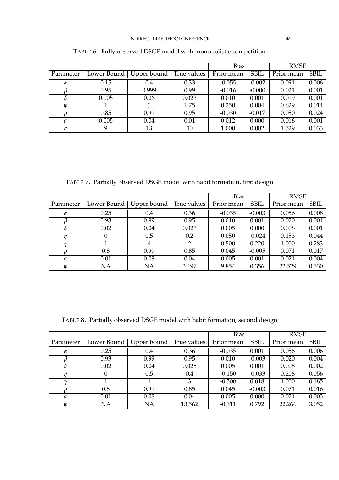<span id="page-48-0"></span>

|            | <b>Bias</b> |             | <b>RMSE</b> |            |             |            |             |
|------------|-------------|-------------|-------------|------------|-------------|------------|-------------|
| Parameter  | Lower Bound | Upper bound | True values | Prior mean | <b>SBIL</b> | Prior mean | <b>SBIL</b> |
| $\alpha$   | 0.15        | 0.4         | 0.33        | $-0.055$   | $-0.002$    | 0.091      | 0.006       |
|            | 0.95        | 0.999       | 0.99        | $-0.016$   | $-0.000$    | 0.021      | 0.001       |
|            | 0.005       | 0.06        | 0.023       | 0.010      | 0.001       | 0.019      | 0.001       |
| ψ          |             | 3           | 1.75        | 0.250      | 0.004       | 0.629      | 0.014       |
| $\varrho$  | 0.85        | 0.99        | 0.95        | $-0.030$   | $-0.017$    | 0.050      | 0.024       |
| $\sigma$   | 0.005       | 0.04        | 0.01        | 0.012      | 0.000       | 0.016      | 0.001       |
| $\epsilon$ | 9           | 13          | 10          | 1.000      | 0.002       | 1.529      | 0.033       |

TABLE 6. Fully observed DSGE model with monopolistic competition

<span id="page-48-1"></span>TABLE 7. Partially observed DSGE model with habit formation, first design

|           |             |             |             | <b>Bias</b> |             | <b>RMSE</b> |             |
|-----------|-------------|-------------|-------------|-------------|-------------|-------------|-------------|
| Parameter | Lower Bound | Upper bound | True values | Prior mean  | <b>SBIL</b> | Prior mean  | <b>SBIL</b> |
| $\alpha$  | 0.25        | 0.4         | 0.36        | $-0.035$    | $-0.003$    | 0.056       | 0.008       |
|           | 0.93        | 0.99        | 0.95        | 0.010       | 0.001       | 0.020       | 0.004       |
|           | 0.02        | 0.04        | 0.025       | 0.005       | 0.000       | 0.008       | 0.001       |
| η         |             | 0.5         | 0.2         | 0.050       | $-0.024$    | 0.153       | 0.044       |
| $\gamma$  |             | 4           | 2           | 0.500       | 0.220       | 1.000       | 0.283       |
| $\varrho$ | 0.8         | 0.99        | 0.85        | 0.045       | $-0.005$    | 0.071       | 0.017       |
| $\sigma$  | 0.01        | 0.08        | 0.04        | 0.005       | 0.001       | 0.021       | 0.004       |
| ıb        | <b>NA</b>   | <b>NA</b>   | 3.197       | 9.854       | 0.356       | 22.529      | 0.530       |

<span id="page-48-2"></span>TABLE 8. Partially observed DSGE model with habit formation, second design

|           | <b>Bias</b> |             | <b>RMSE</b> |            |             |            |             |
|-----------|-------------|-------------|-------------|------------|-------------|------------|-------------|
| Parameter | Lower Bound | Upper bound | True values | Prior mean | <b>SBIL</b> | Prior mean | <b>SBIL</b> |
| $\alpha$  | 0.25        | 0.4         | 0.36        | $-0.035$   | 0.001       | 0.056      | 0.006       |
|           | 0.93        | 0.99        | 0.95        | 0.010      | $-0.003$    | 0.020      | 0.004       |
|           | 0.02        | 0.04        | 0.025       | 0.005      | 0.001       | 0.008      | 0.002       |
| п         |             | 0.5         | 0.4         | $-0.150$   | $-0.033$    | 0.208      | 0.056       |
| $\gamma$  |             | 4           | 3           | $-0.500$   | 0.018       | 1.000      | 0.185       |
| $\varrho$ | 0.8         | 0.99        | 0.85        | 0.045      | $-0.003$    | 0.071      | 0.016       |
| $\sigma$  | 0.01        | 0.08        | 0.04        | 0.005      | 0.000       | 0.021      | 0.003       |
| w         | ΝA          | NA          | 13.562      | $-0.511$   | 0.792       | 22.266     | 3.052       |